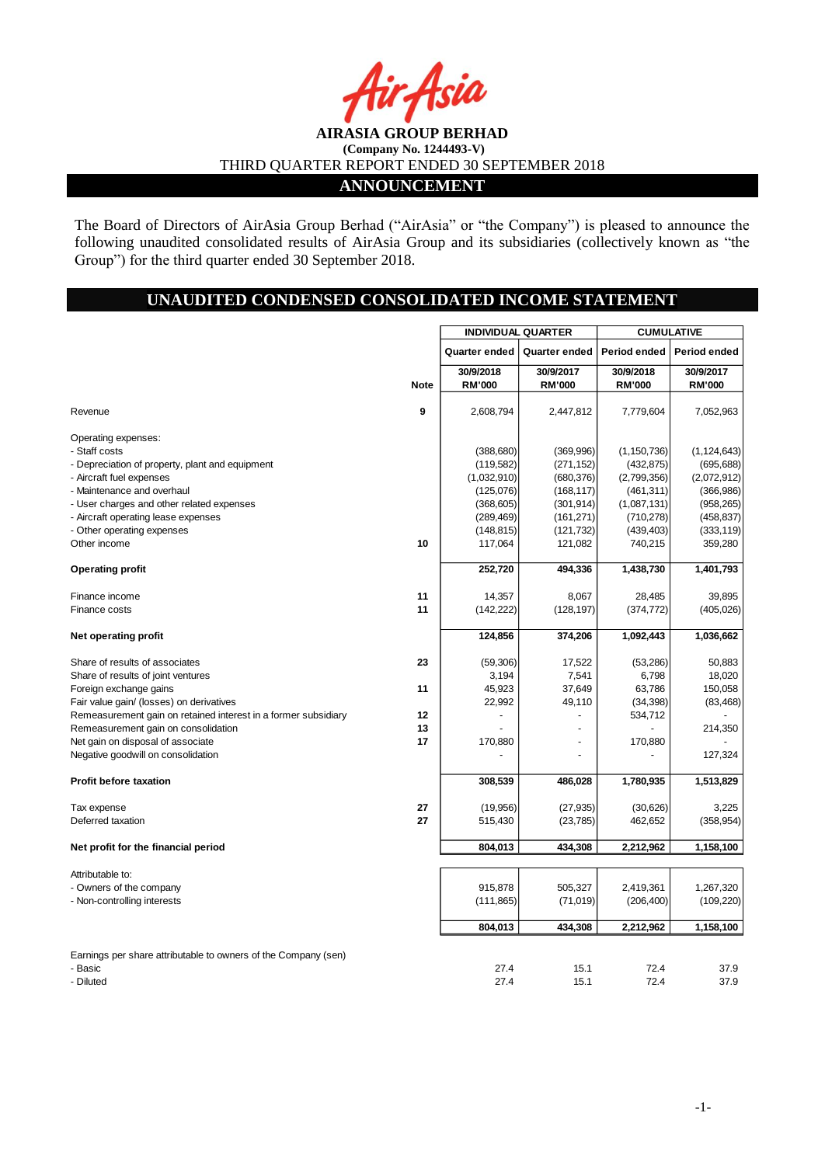## **AIRASIA GROUP BERHAD (Company No. 1244493-V)** THIRD QUARTER REPORT ENDED 30 SEPTEMBER 2018 **ANNOUNCEMENT**

The Board of Directors of AirAsia Group Berhad ("AirAsia" or "the Company") is pleased to announce the following unaudited consolidated results of AirAsia Group and its subsidiaries (collectively known as "the Group") for the third quarter ended 30 September 2018.

## **UNAUDITED CONDENSED CONSOLIDATED INCOME STATEMENT**

|                                                                |             | <b>INDIVIDUAL QUARTER</b>      |               | <b>CUMULATIVE</b> |               |  |
|----------------------------------------------------------------|-------------|--------------------------------|---------------|-------------------|---------------|--|
|                                                                |             | Quarter ended<br>Quarter ended |               | Period ended      | Period ended  |  |
|                                                                |             | 30/9/2018                      | 30/9/2017     | 30/9/2018         | 30/9/2017     |  |
|                                                                | <b>Note</b> | <b>RM'000</b>                  | <b>RM'000</b> | <b>RM'000</b>     | <b>RM'000</b> |  |
| Revenue                                                        | 9           | 2,608,794                      | 2,447,812     | 7,779,604         | 7,052,963     |  |
| Operating expenses:                                            |             |                                |               |                   |               |  |
| - Staff costs                                                  |             | (388, 680)                     | (369,996)     | (1, 150, 736)     | (1, 124, 643) |  |
| - Depreciation of property, plant and equipment                |             | (119, 582)                     | (271, 152)    | (432, 875)        | (695, 688)    |  |
| - Aircraft fuel expenses                                       |             | (1,032,910)                    | (680, 376)    | (2,799,356)       | (2,072,912)   |  |
| - Maintenance and overhaul                                     |             | (125,076)                      | (168, 117)    | (461, 311)        | (366, 986)    |  |
| - User charges and other related expenses                      |             | (368, 605)                     | (301, 914)    | (1,087,131)       | (958, 265)    |  |
| - Aircraft operating lease expenses                            |             | (289, 469)                     | (161, 271)    | (710, 278)        | (458, 837)    |  |
| - Other operating expenses                                     |             | (148, 815)                     | (121, 732)    | (439, 403)        | (333, 119)    |  |
| Other income                                                   | 10          | 117,064                        | 121,082       | 740,215           | 359,280       |  |
| <b>Operating profit</b>                                        |             | 252,720                        | 494,336       | 1,438,730         | 1,401,793     |  |
| Finance income                                                 | 11          | 14,357                         | 8,067         | 28,485            | 39,895        |  |
| Finance costs                                                  | 11          | (142, 222)                     | (128, 197)    | (374, 772)        | (405, 026)    |  |
| Net operating profit                                           |             | 124,856                        | 374,206       | 1,092,443         | 1,036,662     |  |
| Share of results of associates                                 | 23          | (59,306)                       | 17,522        | (53, 286)         | 50,883        |  |
| Share of results of joint ventures                             |             | 3,194                          | 7,541         | 6,798             | 18,020        |  |
| Foreign exchange gains                                         | 11          | 45,923                         | 37,649        | 63,786            | 150,058       |  |
| Fair value gain/ (losses) on derivatives                       |             | 22,992                         | 49,110        | (34, 398)         | (83, 468)     |  |
| Remeasurement gain on retained interest in a former subsidiary | 12          |                                |               | 534,712           |               |  |
| Remeasurement gain on consolidation                            | 13          |                                |               |                   | 214,350       |  |
| Net gain on disposal of associate                              | 17          | 170,880                        | ÷,            | 170,880           |               |  |
| Negative goodwill on consolidation                             |             |                                |               |                   | 127,324       |  |
| <b>Profit before taxation</b>                                  |             | 308,539                        | 486,028       | 1,780,935         | 1,513,829     |  |
| Tax expense                                                    | 27          | (19,956)                       | (27, 935)     | (30,626)          | 3,225         |  |
| Deferred taxation                                              | 27          | 515,430                        | (23, 785)     | 462,652           | (358, 954)    |  |
| Net profit for the financial period                            |             | 804,013                        | 434,308       | 2,212,962         | 1,158,100     |  |
| Attributable to:                                               |             |                                |               |                   |               |  |
| - Owners of the company                                        |             | 915,878                        | 505,327       | 2,419,361         | 1,267,320     |  |
| - Non-controlling interests                                    |             | (111, 865)                     | (71, 019)     | (206, 400)        | (109, 220)    |  |
|                                                                |             | 804,013                        | 434,308       | 2,212,962         | 1,158,100     |  |
| Earnings per share attributable to owners of the Company (sen) |             |                                |               |                   |               |  |
| - Basic                                                        |             | 27.4                           | 15.1          | 72.4              | 37.9          |  |
| - Diluted                                                      |             | 274                            | 151           | 724               | 37.9          |  |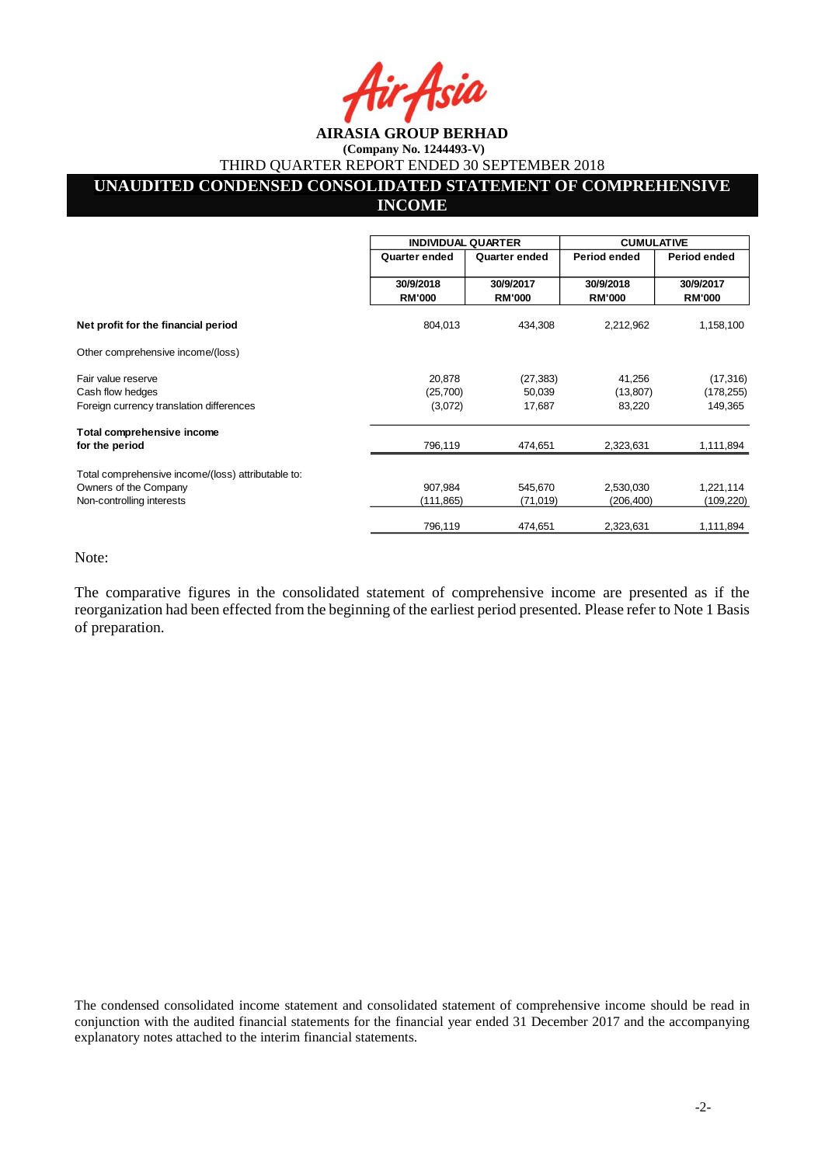#### **AIRASIA GROUP BERHAD (Company No. 1244493-V)**

THIRD QUARTER REPORT ENDED 30 SEPTEMBER 2018

# **UNAUDITED CONDENSED CONSOLIDATED STATEMENT OF COMPREHENSIVE**

## **INCOME**

|                                                    | <b>INDIVIDUAL QUARTER</b>  |                            | <b>CUMULATIVE</b>          |                            |
|----------------------------------------------------|----------------------------|----------------------------|----------------------------|----------------------------|
|                                                    | Quarter ended              | Quarter ended              | Period ended               | Period ended               |
|                                                    | 30/9/2018<br><b>RM'000</b> | 30/9/2017<br><b>RM'000</b> | 30/9/2018<br><b>RM'000</b> | 30/9/2017<br><b>RM'000</b> |
| Net profit for the financial period                | 804,013                    | 434,308                    | 2,212,962                  | 1,158,100                  |
| Other comprehensive income/(loss)                  |                            |                            |                            |                            |
| Fair value reserve                                 | 20,878                     | (27, 383)                  | 41,256                     | (17, 316)                  |
| Cash flow hedges                                   | (25,700)                   | 50,039                     | (13, 807)                  | (178, 255)                 |
| Foreign currency translation differences           | (3,072)                    | 17,687                     | 83,220                     | 149,365                    |
| Total comprehensive income                         |                            |                            |                            |                            |
| for the period                                     | 796,119                    | 474,651                    | 2,323,631                  | 1,111,894                  |
| Total comprehensive income/(loss) attributable to: |                            |                            |                            |                            |
| Owners of the Company                              | 907,984                    | 545,670                    | 2,530,030                  | 1,221,114                  |
| Non-controlling interests                          | (111, 865)                 | (71, 019)                  | (206, 400)                 | (109,220)                  |
|                                                    | 796,119                    | 474,651                    | 2,323,631                  | 1,111,894                  |

Note:

The comparative figures in the consolidated statement of comprehensive income are presented as if the reorganization had been effected from the beginning of the earliest period presented. Please refer to Note 1 Basis of preparation.

The condensed consolidated income statement and consolidated statement of comprehensive income should be read in conjunction with the audited financial statements for the financial year ended 31 December 2017 and the accompanying explanatory notes attached to the interim financial statements.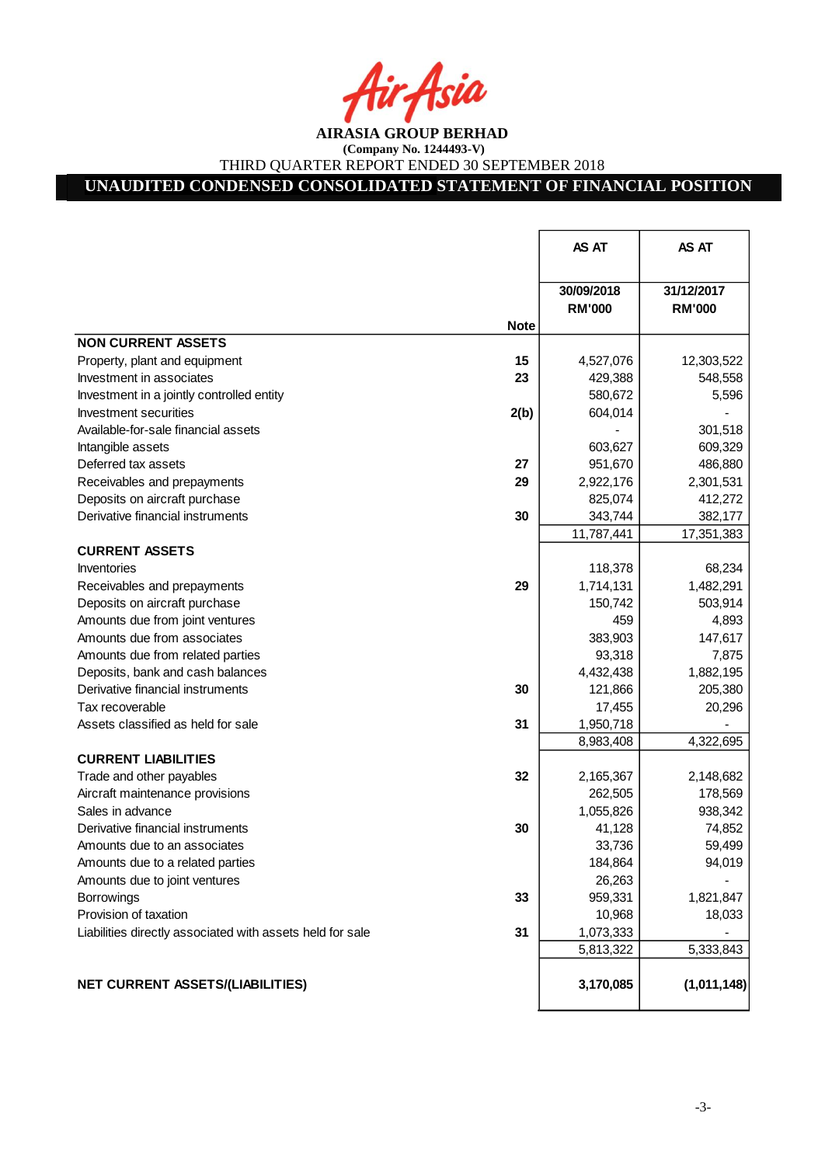**AIRASIA GROUP BERHAD** 

**(Company No. 1244493-V)** THIRD QUARTER REPORT ENDED 30 SEPTEMBER 2018

# **UNAUDITED CONDENSED CONSOLIDATED STATEMENT OF FINANCIAL POSITION**

|                                                                 | AS AT                       | AS AT                       |
|-----------------------------------------------------------------|-----------------------------|-----------------------------|
| <b>Note</b>                                                     | 30/09/2018<br><b>RM'000</b> | 31/12/2017<br><b>RM'000</b> |
| <b>NON CURRENT ASSETS</b>                                       |                             |                             |
| 15<br>Property, plant and equipment                             | 4,527,076                   | 12,303,522                  |
| 23<br>Investment in associates                                  | 429,388                     | 548,558                     |
| Investment in a jointly controlled entity                       | 580,672                     | 5,596                       |
| Investment securities<br>2(b)                                   | 604,014                     |                             |
| Available-for-sale financial assets                             |                             | 301,518                     |
| Intangible assets                                               | 603,627                     | 609,329                     |
| Deferred tax assets<br>27                                       | 951,670                     | 486,880                     |
| 29<br>Receivables and prepayments                               | 2,922,176                   | 2,301,531                   |
| Deposits on aircraft purchase                                   | 825,074                     | 412,272                     |
| Derivative financial instruments<br>30                          | 343,744                     | 382,177                     |
|                                                                 | 11,787,441                  | 17,351,383                  |
| <b>CURRENT ASSETS</b>                                           |                             |                             |
| Inventories                                                     | 118,378                     | 68,234                      |
| 29<br>Receivables and prepayments                               | 1,714,131                   | 1,482,291                   |
| Deposits on aircraft purchase                                   | 150,742                     | 503,914                     |
| Amounts due from joint ventures                                 | 459                         | 4,893                       |
| Amounts due from associates                                     | 383,903                     | 147,617                     |
| Amounts due from related parties                                | 93,318                      | 7,875                       |
| Deposits, bank and cash balances                                | 4,432,438                   | 1,882,195                   |
| Derivative financial instruments<br>30                          | 121,866                     | 205,380                     |
| Tax recoverable                                                 | 17,455                      | 20,296                      |
| 31<br>Assets classified as held for sale                        | 1,950,718                   |                             |
|                                                                 | 8,983,408                   | 4,322,695                   |
| <b>CURRENT LIABILITIES</b>                                      |                             |                             |
| 32<br>Trade and other payables                                  | 2,165,367                   | 2,148,682                   |
| Aircraft maintenance provisions                                 | 262,505                     | 178,569                     |
| Sales in advance                                                | 1,055,826                   | 938,342                     |
| Derivative financial instruments<br>30                          | 41,128                      | 74,852                      |
| Amounts due to an associates                                    | 33,736                      | 59,499                      |
| Amounts due to a related parties                                | 184,864                     | 94,019                      |
| Amounts due to joint ventures                                   | 26,263                      |                             |
| 33<br>Borrowings                                                | 959,331                     | 1,821,847                   |
| Provision of taxation                                           | 10,968                      | 18,033                      |
| 31<br>Liabilities directly associated with assets held for sale | 1,073,333                   |                             |
|                                                                 | 5,813,322                   | 5,333,843                   |
| <b>NET CURRENT ASSETS/(LIABILITIES)</b>                         | 3,170,085                   | (1,011,148)                 |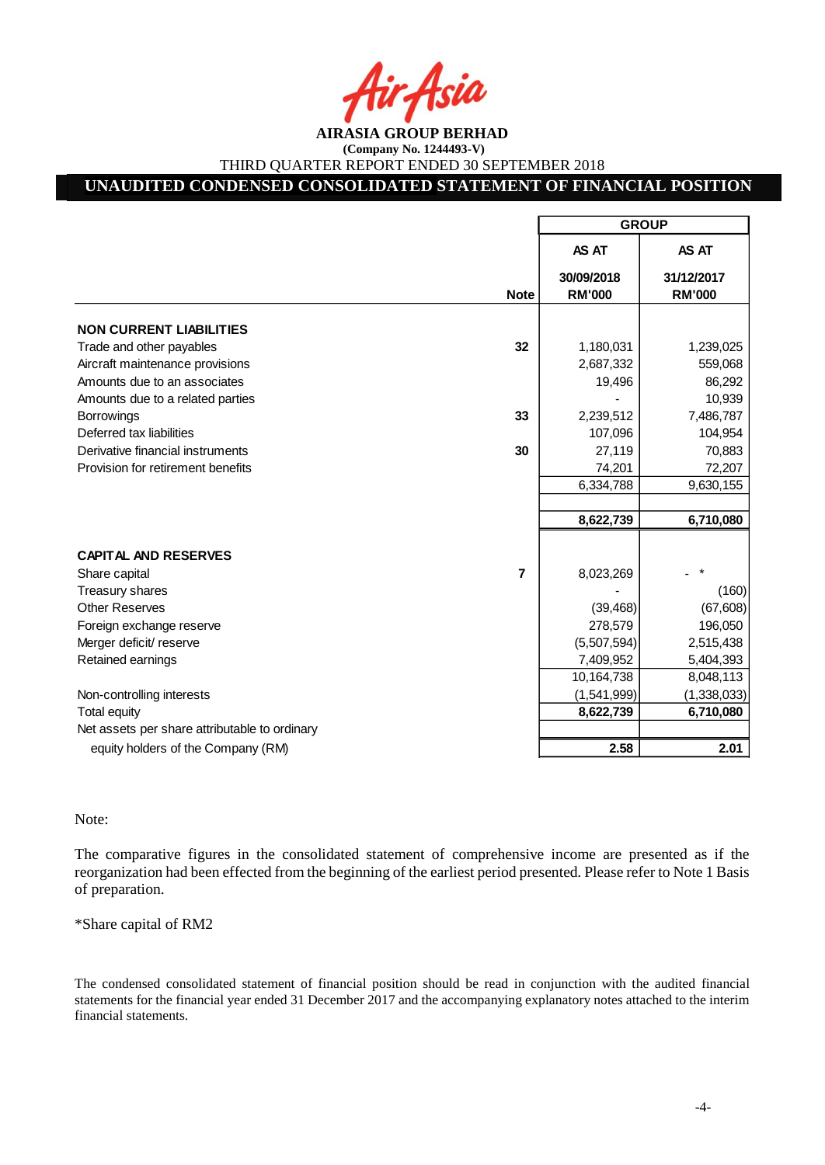## **UNAUDITED CONDENSED CONSOLIDATED STATEMENT OF FINANCIAL POSITION**

|                                               |                | <b>GROUP</b>                |               |  |
|-----------------------------------------------|----------------|-----------------------------|---------------|--|
|                                               |                | AS AT                       | AS AT         |  |
|                                               |                | 30/09/2018<br><b>RM'000</b> | 31/12/2017    |  |
|                                               | <b>Note</b>    |                             | <b>RM'000</b> |  |
| <b>NON CURRENT LIABILITIES</b>                |                |                             |               |  |
| Trade and other payables                      | 32             | 1,180,031                   | 1,239,025     |  |
| Aircraft maintenance provisions               |                | 2,687,332                   | 559,068       |  |
| Amounts due to an associates                  |                | 19,496                      | 86,292        |  |
| Amounts due to a related parties              |                |                             | 10,939        |  |
| <b>Borrowings</b>                             | 33             | 2,239,512                   | 7,486,787     |  |
| Deferred tax liabilities                      |                | 107,096                     | 104,954       |  |
| Derivative financial instruments              | 30             | 27,119                      | 70,883        |  |
| Provision for retirement benefits             |                | 74,201                      | 72,207        |  |
|                                               |                | 6,334,788                   | 9,630,155     |  |
|                                               |                |                             |               |  |
|                                               |                | 8,622,739                   | 6,710,080     |  |
| <b>CAPITAL AND RESERVES</b>                   |                |                             |               |  |
| Share capital                                 | $\overline{7}$ | 8,023,269                   |               |  |
| Treasury shares                               |                |                             | (160)         |  |
| <b>Other Reserves</b>                         |                | (39, 468)                   | (67, 608)     |  |
| Foreign exchange reserve                      |                | 278,579                     | 196,050       |  |
| Merger deficit/ reserve                       |                | (5,507,594)                 | 2,515,438     |  |
| Retained earnings                             |                | 7,409,952                   | 5,404,393     |  |
|                                               |                | 10,164,738                  | 8,048,113     |  |
| Non-controlling interests                     |                | (1,541,999)                 | (1,338,033)   |  |
| <b>Total equity</b>                           |                | 8,622,739                   | 6,710,080     |  |
| Net assets per share attributable to ordinary |                |                             |               |  |
| equity holders of the Company (RM)            |                | 2.58                        | 2.01          |  |

Note:

The comparative figures in the consolidated statement of comprehensive income are presented as if the reorganization had been effected from the beginning of the earliest period presented. Please refer to Note 1 Basis of preparation.

\*Share capital of RM2

The condensed consolidated statement of financial position should be read in conjunction with the audited financial statements for the financial year ended 31 December 2017 and the accompanying explanatory notes attached to the interim financial statements.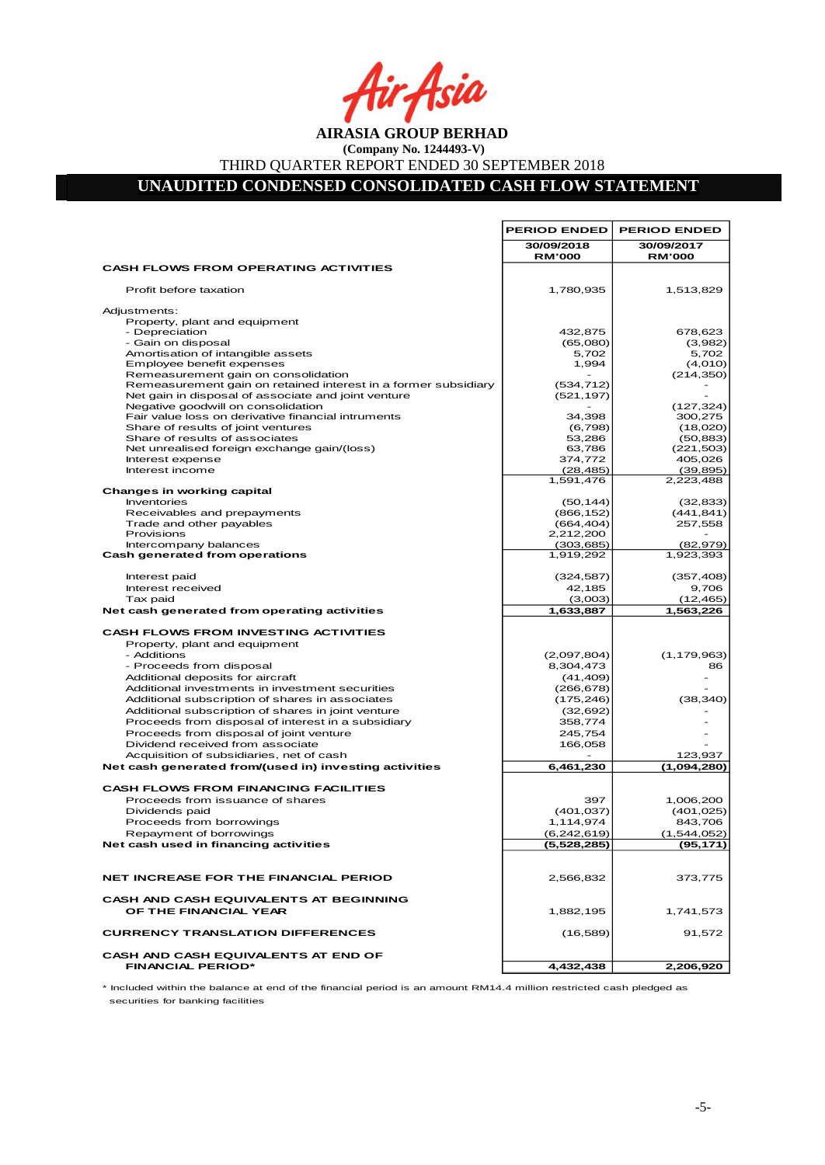Asia

**AIRASIA GROUP BERHAD (Company No. 1244493-V)**

THIRD QUARTER REPORT ENDED 30 SEPTEMBER 2018

**UNAUDITED CONDENSED CONSOLIDATED CASH FLOW STATEMENT** 

|                                                                             | <b>PERIOD ENDED</b>         | <b>PERIOD ENDED</b>         |
|-----------------------------------------------------------------------------|-----------------------------|-----------------------------|
|                                                                             | 30/09/2018<br><b>RM'000</b> | 30/09/2017<br><b>RM'000</b> |
| <b>CASH FLOWS FROM OPERATING ACTIVITIES</b>                                 |                             |                             |
| Profit before taxation                                                      | 1,780,935                   | 1,513,829                   |
| Adjustments:                                                                |                             |                             |
| Property, plant and equipment                                               |                             |                             |
| - Depreciation                                                              | 432,875                     | 678,623                     |
| - Gain on disposal                                                          | (65,080)                    | (3,982)                     |
| Amortisation of intangible assets<br>Employee benefit expenses              | 5,702<br>1,994              | 5,702<br>(4,010)            |
| Remeasurement gain on consolidation                                         |                             | (214, 350)                  |
| Remeasurement gain on retained interest in a former subsidiary              | (534, 712)                  |                             |
| Net gain in disposal of associate and joint venture                         | (521, 197)                  |                             |
| Negative goodwill on consolidation                                          |                             | (127, 324)                  |
| Fair value loss on derivative financial intruments                          | 34,398                      | 300,275                     |
| Share of results of joint ventures                                          | (6,798)                     | (18,020)                    |
| Share of results of associates                                              | 53,286                      | (50, 883)                   |
| Net unrealised foreign exchange gain/(loss)                                 | 63,786                      | (221, 503)                  |
| Interest expense<br>Interest income                                         | 374,772                     | 405,026                     |
|                                                                             | (28, 485)<br>1,591,476      | (39, 895)<br>2,223,488      |
| <b>Changes in working capital</b>                                           |                             |                             |
| Inventories                                                                 | (50, 144)                   | (32, 833)                   |
| Receivables and prepayments                                                 | (866, 152)                  | (441, 841)                  |
| Trade and other payables                                                    | (664, 404)                  | 257,558                     |
| Provisions                                                                  | 2,212,200                   |                             |
| Intercompany balances                                                       | (303, 685)                  | (82, 979)                   |
| Cash generated from operations                                              | 1,919,292                   | 1,923,393                   |
| Interest paid                                                               | (324, 587)                  | (357, 408)                  |
| Interest received                                                           | 42,185                      | 9,706                       |
| Tax paid                                                                    | (3,003)                     | (12, 465)                   |
| Net cash generated from operating activities                                | 1,633,887                   | 1,563,226                   |
| <b>CASH FLOWS FROM INVESTING ACTIVITIES</b>                                 |                             |                             |
| Property, plant and equipment                                               |                             |                             |
| - Additions                                                                 | (2,097,804)                 | (1, 179, 963)               |
| - Proceeds from disposal                                                    | 8,304,473                   | 86                          |
| Additional deposits for aircraft                                            | (41, 409)                   |                             |
| Additional investments in investment securities                             | (266, 678)                  |                             |
| Additional subscription of shares in associates                             | (175, 246)                  | (38, 340)                   |
| Additional subscription of shares in joint venture                          | (32, 692)                   |                             |
| Proceeds from disposal of interest in a subsidiary                          | 358,774                     |                             |
| Proceeds from disposal of joint venture<br>Dividend received from associate | 245,754<br>166,058          |                             |
| Acquisition of subsidiaries, net of cash                                    |                             | 123,937                     |
| Net cash generated from/(used in) investing activities                      | 6,461,230                   | (1.094, 280)                |
|                                                                             |                             |                             |
| <b>CASH FLOWS FROM FINANCING FACILITIES</b>                                 |                             |                             |
| Proceeds from issuance of shares                                            | 397                         | 1,006,200                   |
| Dividends paid                                                              | (401, 037)                  | (401, 025)                  |
| Proceeds from borrowings                                                    | 1,114,974                   | 843.706                     |
| Repayment of borrowings                                                     | (6,242,619)                 | (1,544,052)                 |
| Net cash used in financing activities                                       | (5,528,285)                 | (95,171)                    |
| NET INCREASE FOR THE FINANCIAL PERIOD                                       | 2,566,832                   | 373,775                     |
|                                                                             |                             |                             |
| <b>CASH AND CASH EQUIVALENTS AT BEGINNING</b><br>OF THE FINANCIAL YEAR      | 1,882,195                   | 1,741,573                   |
| <b>CURRENCY TRANSLATION DIFFERENCES</b>                                     | (16, 589)                   | 91,572                      |
| <b>CASH AND CASH EQUIVALENTS AT END OF</b>                                  |                             |                             |
| <b>FINANCIAL PERIOD*</b>                                                    | 4,432,438                   | 2,206,920                   |

\* Included within the balance at end of the financial period is an amount RM14.4 million restricted cash pledged as securities for banking facilities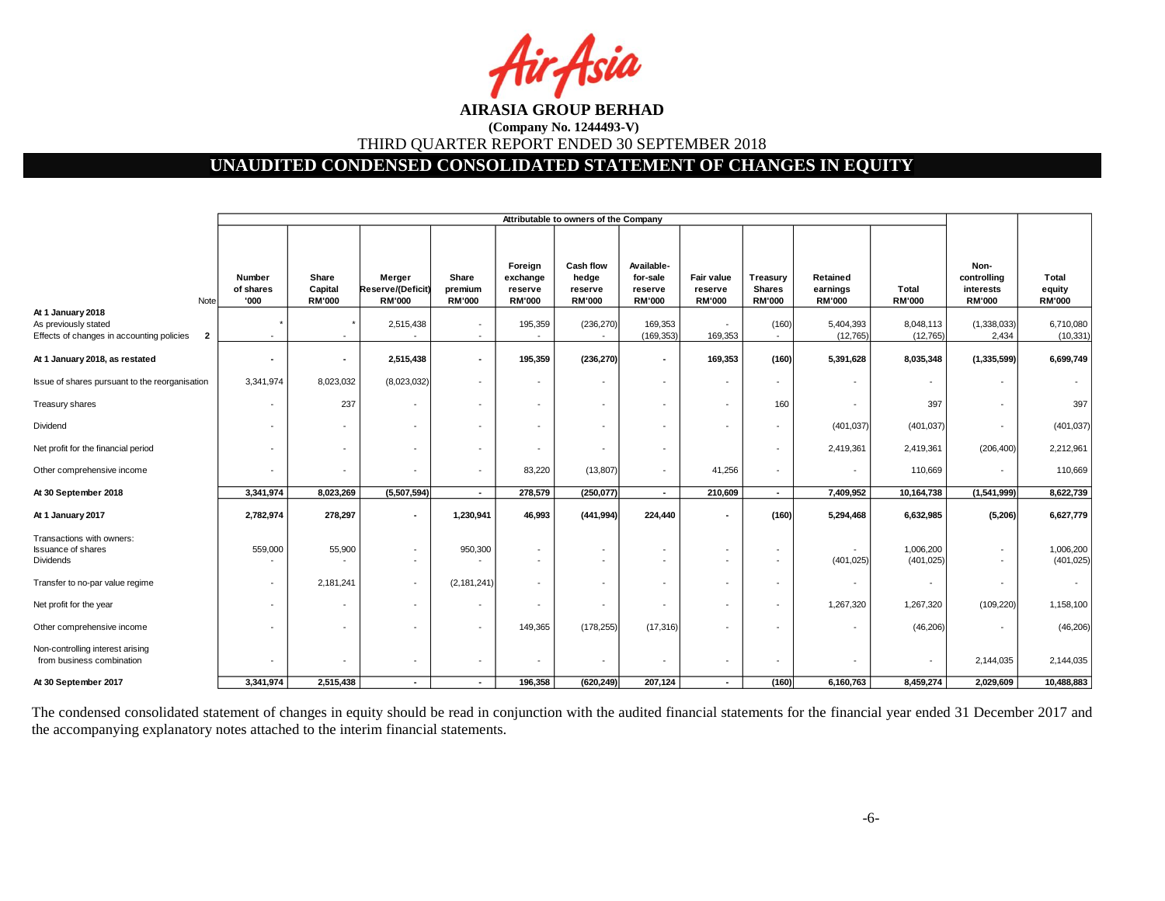Isia

## **UNAUDITED CONDENSED CONSOLIDATED STATEMENT OF CHANGES IN EQUITY**

|                                                                                                        |                             |                                   |                                              |                                   |                                                 | Attributable to owners of the Company                |                                                    |                                               |                                            |                                       |                          |                                                   |                                  |
|--------------------------------------------------------------------------------------------------------|-----------------------------|-----------------------------------|----------------------------------------------|-----------------------------------|-------------------------------------------------|------------------------------------------------------|----------------------------------------------------|-----------------------------------------------|--------------------------------------------|---------------------------------------|--------------------------|---------------------------------------------------|----------------------------------|
| Note                                                                                                   | Number<br>of shares<br>'000 | Share<br>Capital<br><b>RM'000</b> | Merger<br>Reserve/(Deficit)<br><b>RM'000</b> | Share<br>premium<br><b>RM'000</b> | Foreign<br>exchange<br>reserve<br><b>RM'000</b> | Cash flow<br>hedge<br>reserve<br><b>RM'000</b>       | Available-<br>for-sale<br>reserve<br><b>RM'000</b> | <b>Fair value</b><br>reserve<br><b>RM'000</b> | Treasury<br><b>Shares</b><br><b>RM'000</b> | Retained<br>earnings<br><b>RM'000</b> | Total<br><b>RM'000</b>   | Non-<br>controlling<br>interests<br><b>RM'000</b> | Total<br>equity<br><b>RM'000</b> |
| At 1 January 2018<br>As previously stated<br>Effects of changes in accounting policies<br>$\mathbf{2}$ |                             |                                   | 2,515,438                                    |                                   | 195,359                                         | (236, 270)<br>$\sim$                                 | 169,353<br>(169, 353)                              | 169,353                                       | (160)<br>$\sim$                            | 5,404,393<br>(12, 765)                | 8,048,113<br>(12, 765)   | (1,338,033)<br>2,434                              | 6,710,080<br>(10, 331)           |
| At 1 January 2018, as restated                                                                         | $\overline{\phantom{a}}$    | $\blacksquare$                    | 2,515,438                                    |                                   | 195,359                                         | (236, 270)                                           | $\blacksquare$                                     | 169,353                                       | (160)                                      | 5,391,628                             | 8,035,348                | (1, 335, 599)                                     | 6,699,749                        |
| Issue of shares pursuant to the reorganisation                                                         | 3,341,974                   | 8,023,032                         | (8,023,032)                                  |                                   | $\overline{\phantom{a}}$                        | $\overline{\phantom{a}}$                             | $\overline{\phantom{a}}$                           |                                               |                                            |                                       | $\overline{\phantom{a}}$ | $\overline{\phantom{a}}$                          | $\sim$                           |
| Treasury shares                                                                                        | ۰                           | 237                               |                                              |                                   |                                                 | $\overline{\phantom{a}}$                             |                                                    |                                               | 160                                        |                                       | 397                      | $\overline{\phantom{a}}$                          | 397                              |
| Dividend                                                                                               | $\overline{\phantom{a}}$    | $\overline{\phantom{a}}$          |                                              |                                   |                                                 | $\overline{\phantom{a}}$                             |                                                    |                                               |                                            | (401, 037)                            | (401, 037)               | $\overline{\phantom{a}}$                          | (401, 037)                       |
| Net profit for the financial period                                                                    | $\overline{\phantom{a}}$    | $\overline{\phantom{a}}$          | $\overline{\phantom{a}}$                     | $\overline{\phantom{a}}$          | $\overline{\phantom{a}}$                        | $\overline{\phantom{a}}$                             | $\overline{\phantom{a}}$                           |                                               | $\overline{\phantom{a}}$                   | 2,419,361                             | 2,419,361                | (206, 400)                                        | 2,212,961                        |
| Other comprehensive income                                                                             | $\overline{\phantom{a}}$    | $\overline{\phantom{a}}$          | $\overline{\phantom{a}}$                     | $\overline{a}$                    | 83,220                                          | (13,807)                                             | $\overline{\phantom{a}}$                           | 41,256                                        | $\overline{\phantom{a}}$                   |                                       | 110,669                  | $\overline{\phantom{a}}$                          | 110,669                          |
| At 30 September 2018                                                                                   | 3,341,974                   | 8,023,269                         | (5,507,594)                                  | $\sim$                            | 278,579                                         | (250, 077)                                           | $\sim$                                             | 210,609                                       | $\sim$                                     | 7,409,952                             | 10,164,738               | (1,541,999)                                       | 8,622,739                        |
| At 1 January 2017                                                                                      | 2,782,974                   | 278,297                           |                                              | 1,230,941                         | 46,993                                          | (441, 994)                                           | 224,440                                            |                                               | (160)                                      | 5,294,468                             | 6,632,985                | (5,206)                                           | 6,627,779                        |
| Transactions with owners:<br><b>Issuance of shares</b><br>Dividends                                    | 559,000                     | 55,900                            |                                              | 950,300                           | $\overline{a}$<br>$\overline{a}$                | $\overline{\phantom{a}}$<br>$\overline{\phantom{a}}$ |                                                    |                                               |                                            | (401, 025)                            | 1,006,200<br>(401, 025)  | $\overline{\phantom{a}}$                          | 1,006,200<br>(401, 025)          |
| Transfer to no-par value regime                                                                        | $\overline{\phantom{a}}$    | 2,181,241                         |                                              | (2, 181, 241)                     | $\overline{\phantom{a}}$                        | $\overline{\phantom{a}}$                             |                                                    |                                               | $\overline{\phantom{a}}$                   |                                       | $\overline{\phantom{a}}$ | $\blacksquare$                                    | $\sim$                           |
| Net profit for the year                                                                                |                             |                                   |                                              |                                   |                                                 | $\overline{\phantom{a}}$                             |                                                    |                                               | $\overline{\phantom{a}}$                   | 1,267,320                             | 1,267,320                | (109, 220)                                        | 1,158,100                        |
| Other comprehensive income                                                                             |                             |                                   |                                              |                                   | 149,365                                         | (178, 255)                                           | (17, 316)                                          |                                               |                                            |                                       | (46, 206)                | $\blacksquare$                                    | (46, 206)                        |
| Non-controlling interest arising<br>from business combination                                          | $\overline{\phantom{a}}$    |                                   |                                              |                                   |                                                 | $\overline{\phantom{a}}$                             |                                                    |                                               |                                            |                                       | $\overline{\phantom{a}}$ | 2,144,035                                         | 2,144,035                        |
| At 30 September 2017                                                                                   | 3,341,974                   | 2,515,438                         | $\overline{\phantom{a}}$                     | $\overline{\phantom{a}}$          | 196,358                                         | (620, 249)                                           | 207,124                                            |                                               | (160)                                      | 6,160,763                             | 8,459,274                | 2,029,609                                         | 10,488,883                       |

The condensed consolidated statement of changes in equity should be read in conjunction with the audited financial statements for the financial year ended 31 December 2017 and the accompanying explanatory notes attached to the interim financial statements.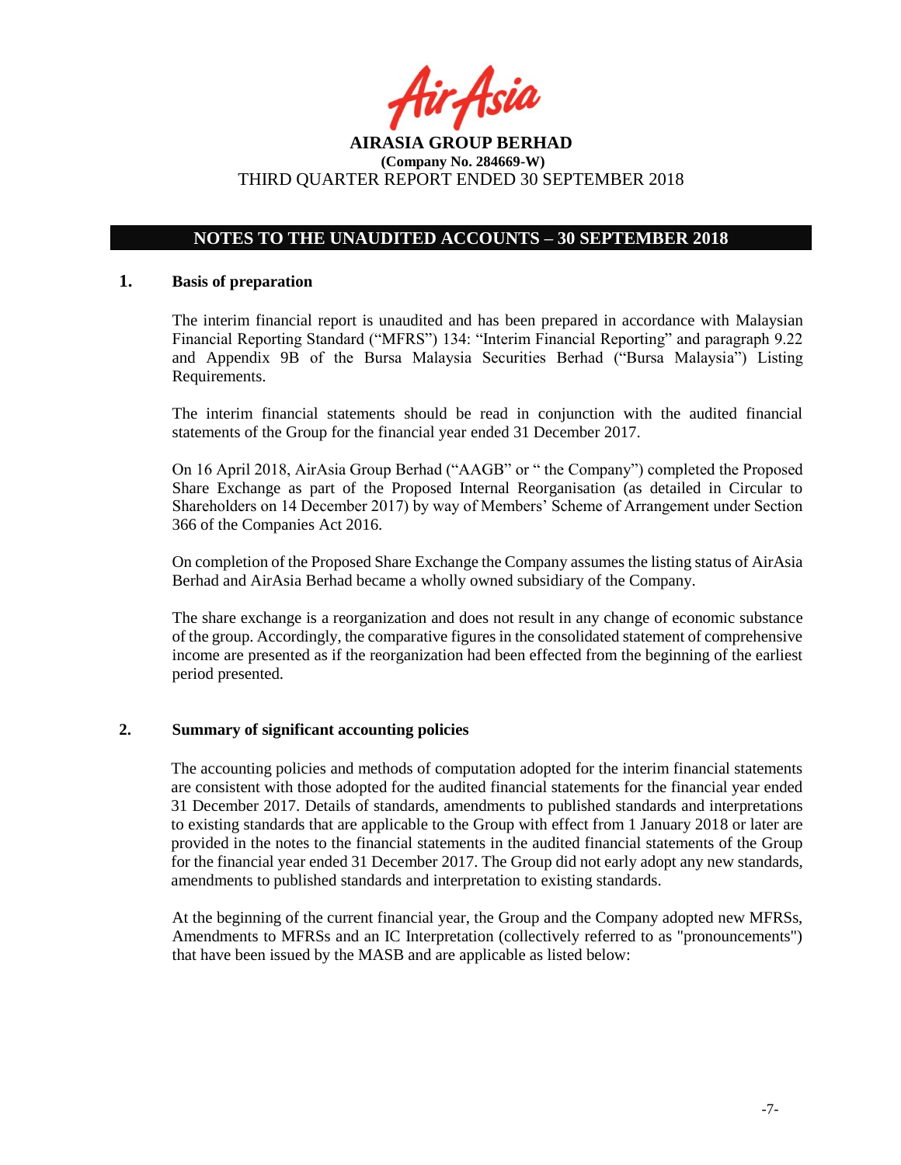fir<sub>t</sub>Asia

## **NOTES TO THE UNAUDITED ACCOUNTS – 30 SEPTEMBER 2018**

#### **1. Basis of preparation**

The interim financial report is unaudited and has been prepared in accordance with Malaysian Financial Reporting Standard ("MFRS") 134: "Interim Financial Reporting" and paragraph 9.22 and Appendix 9B of the Bursa Malaysia Securities Berhad ("Bursa Malaysia") Listing Requirements.

The interim financial statements should be read in conjunction with the audited financial statements of the Group for the financial year ended 31 December 2017.

On 16 April 2018, AirAsia Group Berhad ("AAGB" or " the Company") completed the Proposed Share Exchange as part of the Proposed Internal Reorganisation (as detailed in Circular to Shareholders on 14 December 2017) by way of Members' Scheme of Arrangement under Section 366 of the Companies Act 2016.

On completion of the Proposed Share Exchange the Company assumes the listing status of AirAsia Berhad and AirAsia Berhad became a wholly owned subsidiary of the Company.

The share exchange is a reorganization and does not result in any change of economic substance of the group. Accordingly, the comparative figures in the consolidated statement of comprehensive income are presented as if the reorganization had been effected from the beginning of the earliest period presented.

#### **2. Summary of significant accounting policies**

The accounting policies and methods of computation adopted for the interim financial statements are consistent with those adopted for the audited financial statements for the financial year ended 31 December 2017. Details of standards, amendments to published standards and interpretations to existing standards that are applicable to the Group with effect from 1 January 2018 or later are provided in the notes to the financial statements in the audited financial statements of the Group for the financial year ended 31 December 2017. The Group did not early adopt any new standards, amendments to published standards and interpretation to existing standards.

At the beginning of the current financial year, the Group and the Company adopted new MFRSs, Amendments to MFRSs and an IC Interpretation (collectively referred to as "pronouncements") that have been issued by the MASB and are applicable as listed below: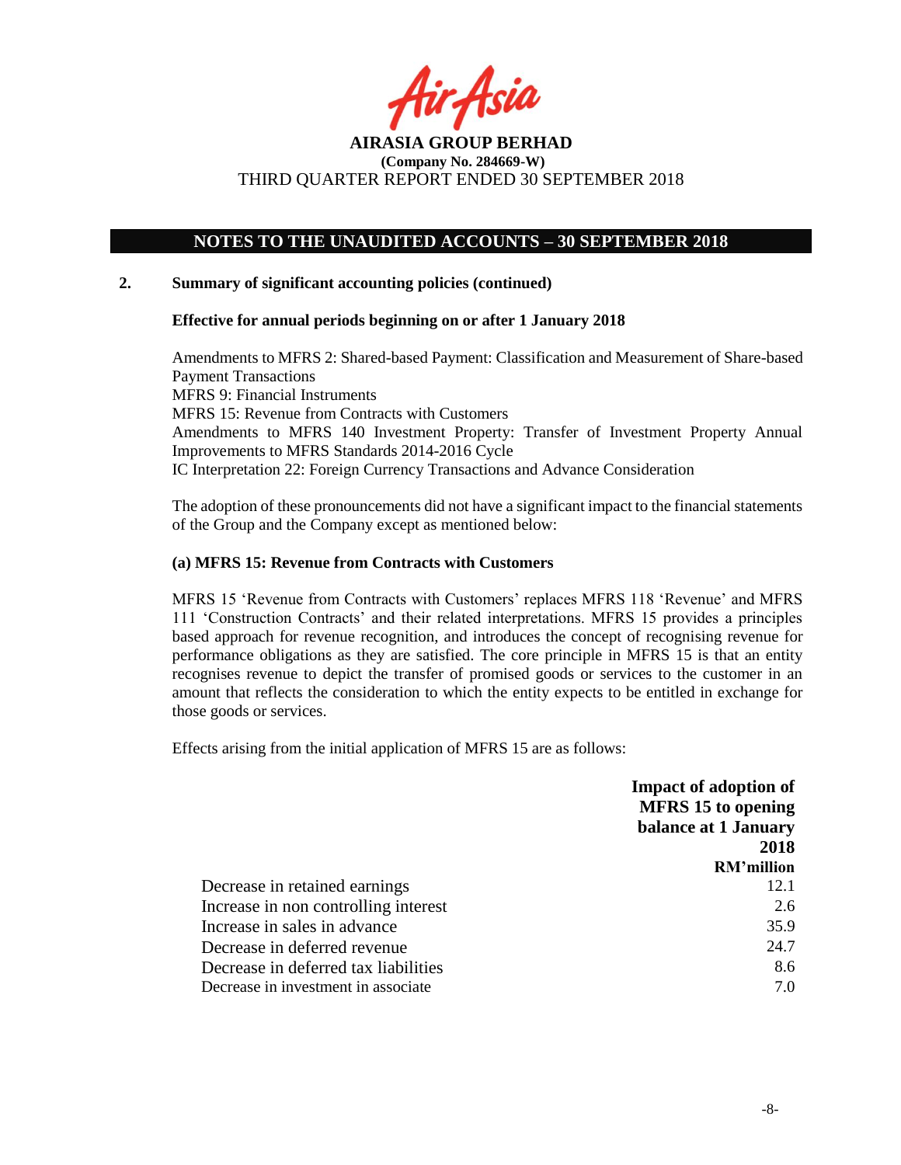fir Asia

## **NOTES TO THE UNAUDITED ACCOUNTS – 30 SEPTEMBER 2018**

### **2. Summary of significant accounting policies (continued)**

#### **Effective for annual periods beginning on or after 1 January 2018**

Amendments to MFRS 2: Shared-based Payment: Classification and Measurement of Share-based Payment Transactions MFRS 9: Financial Instruments MFRS 15: Revenue from Contracts with Customers Amendments to MFRS 140 Investment Property: Transfer of Investment Property Annual Improvements to MFRS Standards 2014-2016 Cycle IC Interpretation 22: Foreign Currency Transactions and Advance Consideration

The adoption of these pronouncements did not have a significant impact to the financial statements of the Group and the Company except as mentioned below:

#### **(a) MFRS 15: Revenue from Contracts with Customers**

MFRS 15 'Revenue from Contracts with Customers' replaces MFRS 118 'Revenue' and MFRS 111 'Construction Contracts' and their related interpretations. MFRS 15 provides a principles based approach for revenue recognition, and introduces the concept of recognising revenue for performance obligations as they are satisfied. The core principle in MFRS 15 is that an entity recognises revenue to depict the transfer of promised goods or services to the customer in an amount that reflects the consideration to which the entity expects to be entitled in exchange for those goods or services.

Effects arising from the initial application of MFRS 15 are as follows:

|                                      | <b>Impact of adoption of</b> |
|--------------------------------------|------------------------------|
|                                      | <b>MFRS</b> 15 to opening    |
|                                      | balance at 1 January         |
|                                      | 2018                         |
|                                      | <b>RM'million</b>            |
| Decrease in retained earnings        | 12.1                         |
| Increase in non controlling interest | 2.6                          |
| Increase in sales in advance         | 35.9                         |
| Decrease in deferred revenue         | 24.7                         |
| Decrease in deferred tax liabilities | 8.6                          |
| Decrease in investment in associate. | 7.0                          |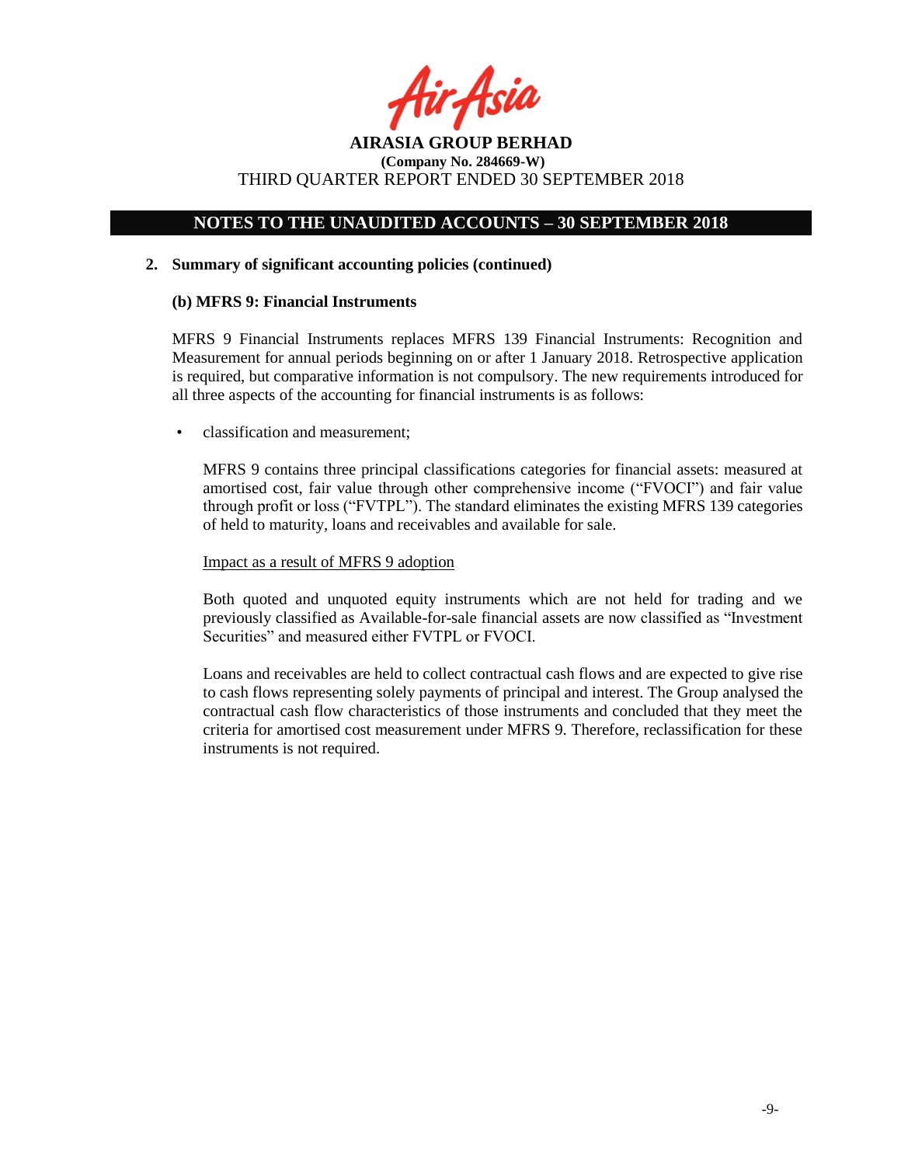fir<sub>t</sub>Asia

## **NOTES TO THE UNAUDITED ACCOUNTS – 30 SEPTEMBER 2018**

#### **2. Summary of significant accounting policies (continued)**

#### **(b) MFRS 9: Financial Instruments**

MFRS 9 Financial Instruments replaces MFRS 139 Financial Instruments: Recognition and Measurement for annual periods beginning on or after 1 January 2018. Retrospective application is required, but comparative information is not compulsory. The new requirements introduced for all three aspects of the accounting for financial instruments is as follows:

• classification and measurement;

MFRS 9 contains three principal classifications categories for financial assets: measured at amortised cost, fair value through other comprehensive income ("FVOCI") and fair value through profit or loss ("FVTPL"). The standard eliminates the existing MFRS 139 categories of held to maturity, loans and receivables and available for sale.

#### Impact as a result of MFRS 9 adoption

Both quoted and unquoted equity instruments which are not held for trading and we previously classified as Available-for-sale financial assets are now classified as "Investment Securities" and measured either FVTPL or FVOCI.

Loans and receivables are held to collect contractual cash flows and are expected to give rise to cash flows representing solely payments of principal and interest. The Group analysed the contractual cash flow characteristics of those instruments and concluded that they meet the criteria for amortised cost measurement under MFRS 9. Therefore, reclassification for these instruments is not required.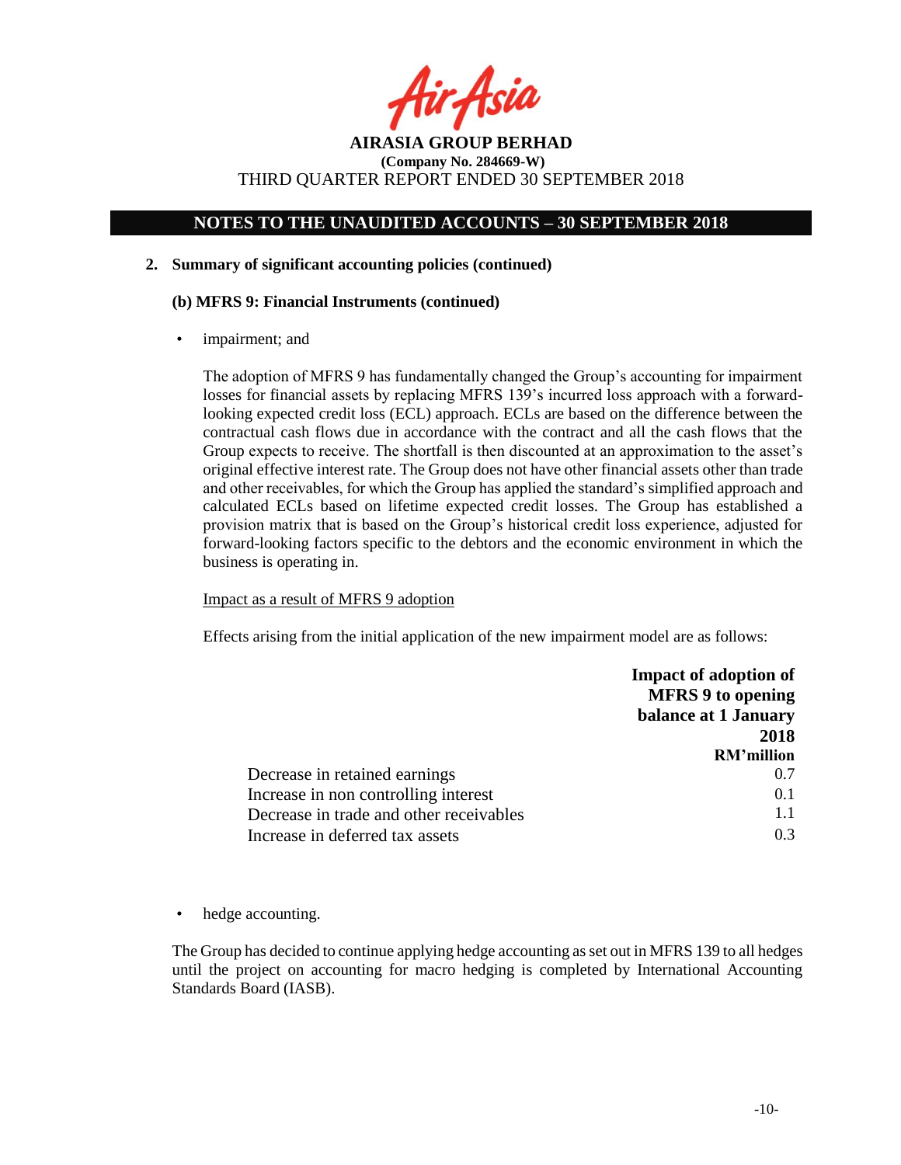fir<sub>i</sub>fsia

## **NOTES TO THE UNAUDITED ACCOUNTS – 30 SEPTEMBER 2018**

#### **2. Summary of significant accounting policies (continued)**

#### **(b) MFRS 9: Financial Instruments (continued)**

impairment; and

The adoption of MFRS 9 has fundamentally changed the Group's accounting for impairment losses for financial assets by replacing MFRS 139's incurred loss approach with a forwardlooking expected credit loss (ECL) approach. ECLs are based on the difference between the contractual cash flows due in accordance with the contract and all the cash flows that the Group expects to receive. The shortfall is then discounted at an approximation to the asset's original effective interest rate. The Group does not have other financial assets other than trade and other receivables, for which the Group has applied the standard's simplified approach and calculated ECLs based on lifetime expected credit losses. The Group has established a provision matrix that is based on the Group's historical credit loss experience, adjusted for forward-looking factors specific to the debtors and the economic environment in which the business is operating in.

## Impact as a result of MFRS 9 adoption

Effects arising from the initial application of the new impairment model are as follows:

|                                         | <b>Impact of adoption of</b> |
|-----------------------------------------|------------------------------|
|                                         | <b>MFRS 9 to opening</b>     |
|                                         | balance at 1 January         |
|                                         | 2018                         |
|                                         | <b>RM'million</b>            |
| Decrease in retained earnings           | 0.7                          |
| Increase in non controlling interest    | 0.1                          |
| Decrease in trade and other receivables | 1.1                          |
| Increase in deferred tax assets         | 03                           |

• hedge accounting.

The Group has decided to continue applying hedge accounting as set out in MFRS 139 to all hedges until the project on accounting for macro hedging is completed by International Accounting Standards Board (IASB).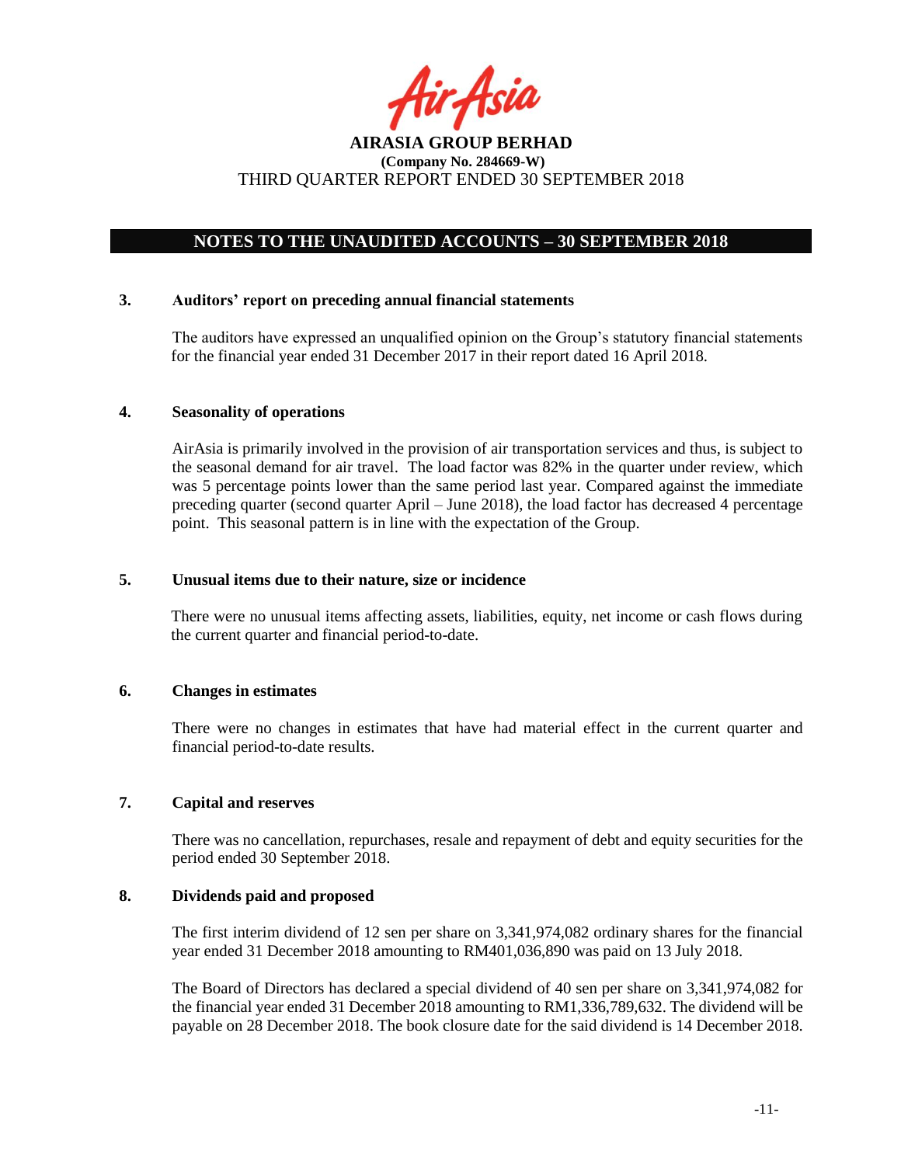

## **NOTES TO THE UNAUDITED ACCOUNTS – 30 SEPTEMBER 2018**

#### **3. Auditors' report on preceding annual financial statements**

The auditors have expressed an unqualified opinion on the Group's statutory financial statements for the financial year ended 31 December 2017 in their report dated 16 April 2018.

#### **4. Seasonality of operations**

AirAsia is primarily involved in the provision of air transportation services and thus, is subject to the seasonal demand for air travel. The load factor was 82% in the quarter under review, which was 5 percentage points lower than the same period last year. Compared against the immediate preceding quarter (second quarter April – June 2018), the load factor has decreased 4 percentage point. This seasonal pattern is in line with the expectation of the Group.

#### **5. Unusual items due to their nature, size or incidence**

There were no unusual items affecting assets, liabilities, equity, net income or cash flows during the current quarter and financial period-to-date.

### **6. Changes in estimates**

There were no changes in estimates that have had material effect in the current quarter and financial period-to-date results.

#### **7. Capital and reserves**

There was no cancellation, repurchases, resale and repayment of debt and equity securities for the period ended 30 September 2018.

#### **8. Dividends paid and proposed**

The first interim dividend of 12 sen per share on 3,341,974,082 ordinary shares for the financial year ended 31 December 2018 amounting to RM401,036,890 was paid on 13 July 2018.

The Board of Directors has declared a special dividend of 40 sen per share on 3,341,974,082 for the financial year ended 31 December 2018 amounting to RM1,336,789,632. The dividend will be payable on 28 December 2018. The book closure date for the said dividend is 14 December 2018.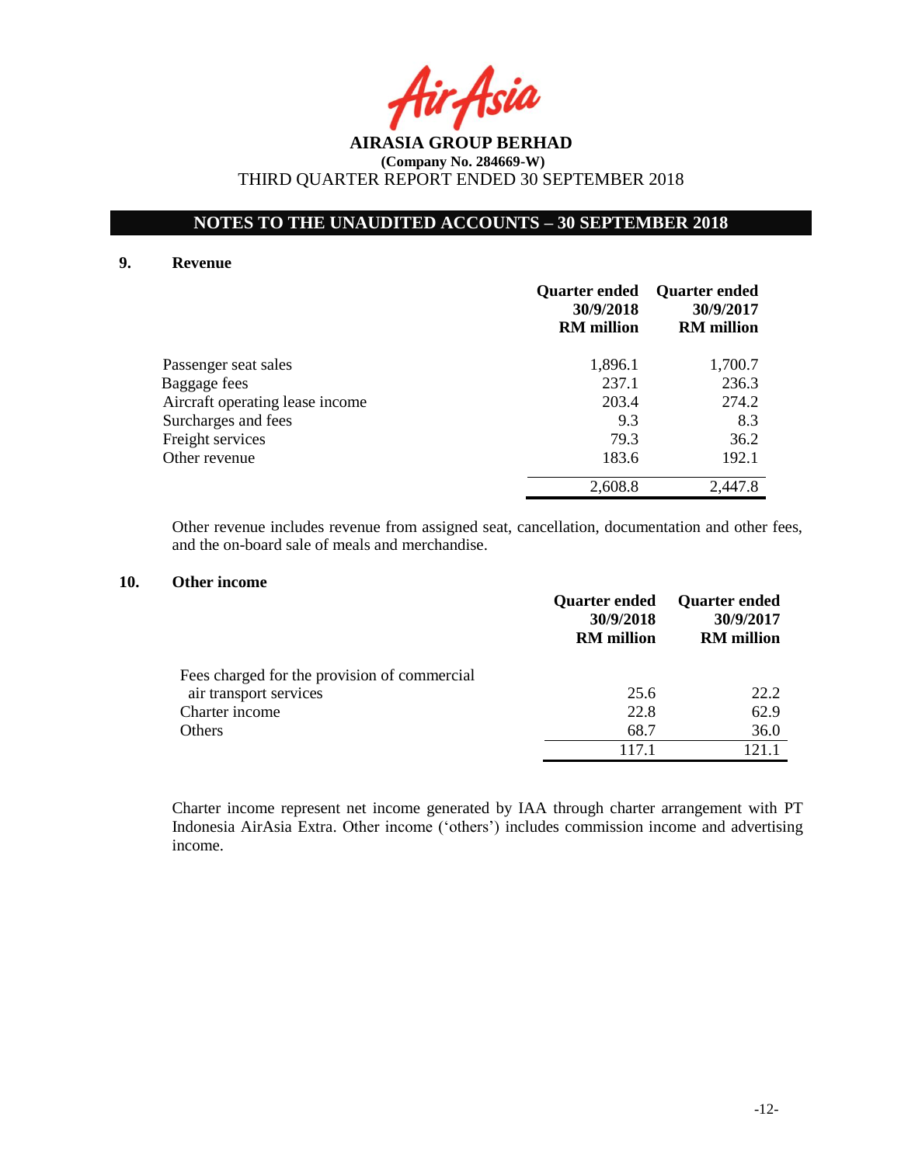rAsia

## **NOTES TO THE UNAUDITED ACCOUNTS – 30 SEPTEMBER 2018**

#### **9. Revenue**

|                                 | Quarter ended<br>30/9/2018<br><b>RM</b> million | <b>Quarter ended</b><br>30/9/2017<br><b>RM</b> million |
|---------------------------------|-------------------------------------------------|--------------------------------------------------------|
| Passenger seat sales            | 1,896.1                                         | 1,700.7                                                |
| Baggage fees                    | 237.1                                           | 236.3                                                  |
| Aircraft operating lease income | 203.4                                           | 274.2                                                  |
| Surcharges and fees             | 9.3                                             | 8.3                                                    |
| Freight services                | 79.3                                            | 36.2                                                   |
| Other revenue                   | 183.6                                           | 192.1                                                  |
|                                 | 2,608.8                                         | 2,447.8                                                |

Other revenue includes revenue from assigned seat, cancellation, documentation and other fees, and the on-board sale of meals and merchandise.

### **10. Other income**

|                                              | <b>Quarter ended</b><br>30/9/2018<br><b>RM</b> million | <b>Quarter ended</b><br>30/9/2017<br><b>RM</b> million |
|----------------------------------------------|--------------------------------------------------------|--------------------------------------------------------|
| Fees charged for the provision of commercial |                                                        |                                                        |
| air transport services                       | 25.6                                                   | 22.2                                                   |
| Charter income                               | 22.8                                                   | 62.9                                                   |
| Others                                       | 68.7                                                   | 36.0                                                   |
|                                              | 1171                                                   | 121.1                                                  |

Charter income represent net income generated by IAA through charter arrangement with PT Indonesia AirAsia Extra. Other income ('others') includes commission income and advertising income.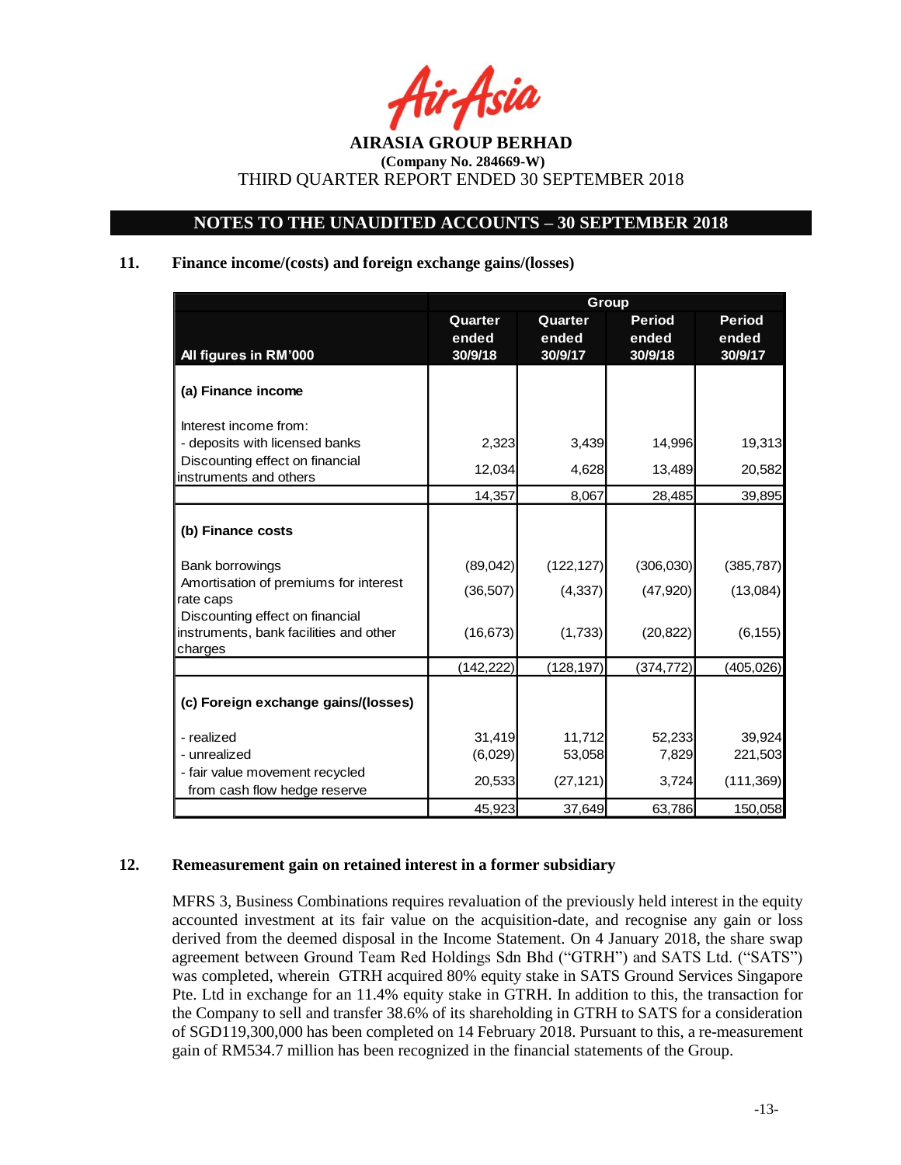rAsia

## **NOTES TO THE UNAUDITED ACCOUNTS – 30 SEPTEMBER 2018**

## **11. Finance income/(costs) and foreign exchange gains/(losses)**

|                                                                                      | Group                       |                             |                                   |                                   |  |  |
|--------------------------------------------------------------------------------------|-----------------------------|-----------------------------|-----------------------------------|-----------------------------------|--|--|
| All figures in RM'000                                                                | Quarter<br>ended<br>30/9/18 | Quarter<br>ended<br>30/9/17 | <b>Period</b><br>ended<br>30/9/18 | <b>Period</b><br>ended<br>30/9/17 |  |  |
| (a) Finance income                                                                   |                             |                             |                                   |                                   |  |  |
| Interest income from:                                                                |                             |                             |                                   |                                   |  |  |
| - deposits with licensed banks                                                       | 2,323                       | 3,439                       | 14,996                            | 19,313                            |  |  |
| Discounting effect on financial<br>instruments and others                            | 12,034                      | 4,628                       | 13,489                            | 20,582                            |  |  |
|                                                                                      | 14,357                      | 8,067                       | 28,485                            | 39,895                            |  |  |
| (b) Finance costs                                                                    |                             |                             |                                   |                                   |  |  |
| <b>Bank borrowings</b>                                                               | (89,042)                    | (122, 127)                  | (306,030)                         | (385, 787)                        |  |  |
| Amortisation of premiums for interest<br>rate caps                                   | (36, 507)                   | (4, 337)                    | (47, 920)                         | (13,084)                          |  |  |
| Discounting effect on financial<br>instruments, bank facilities and other<br>charges | (16, 673)                   | (1,733)                     | (20, 822)                         | (6, 155)                          |  |  |
|                                                                                      | (142, 222)                  | (128, 197)                  | (374, 772)                        | (405, 026)                        |  |  |
| (c) Foreign exchange gains/(losses)                                                  |                             |                             |                                   |                                   |  |  |
| - realized                                                                           | 31,419                      | 11,712                      | 52,233                            | 39,924                            |  |  |
| - unrealized                                                                         | (6,029)                     | 53,058                      | 7,829                             | 221,503                           |  |  |
| - fair value movement recycled<br>from cash flow hedge reserve                       | 20,533                      | (27, 121)                   | 3,724                             | (111, 369)                        |  |  |
|                                                                                      | 45,923                      | 37,649                      | 63,786                            | 150,058                           |  |  |

## **12. Remeasurement gain on retained interest in a former subsidiary**

MFRS 3, Business Combinations requires revaluation of the previously held interest in the equity accounted investment at its fair value on the acquisition-date, and recognise any gain or loss derived from the deemed disposal in the Income Statement. On 4 January 2018, the share swap agreement between Ground Team Red Holdings Sdn Bhd ("GTRH") and SATS Ltd. ("SATS") was completed, wherein GTRH acquired 80% equity stake in SATS Ground Services Singapore Pte. Ltd in exchange for an 11.4% equity stake in GTRH. In addition to this, the transaction for the Company to sell and transfer 38.6% of its shareholding in GTRH to SATS for a consideration of SGD119,300,000 has been completed on 14 February 2018. Pursuant to this, a re-measurement gain of RM534.7 million has been recognized in the financial statements of the Group.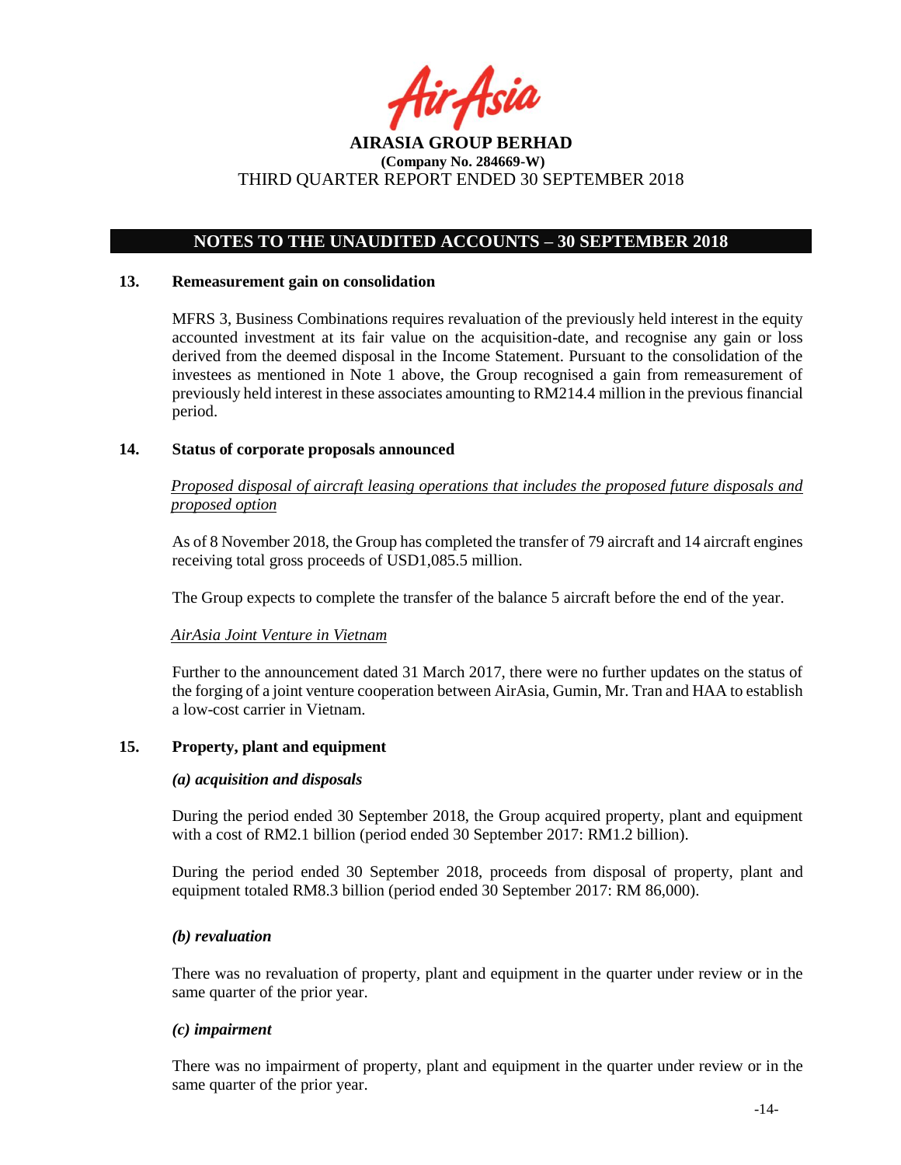

## **NOTES TO THE UNAUDITED ACCOUNTS – 30 SEPTEMBER 2018**

#### **13. Remeasurement gain on consolidation**

MFRS 3, Business Combinations requires revaluation of the previously held interest in the equity accounted investment at its fair value on the acquisition-date, and recognise any gain or loss derived from the deemed disposal in the Income Statement. Pursuant to the consolidation of the investees as mentioned in Note 1 above, the Group recognised a gain from remeasurement of previously held interest in these associates amounting to RM214.4 million in the previous financial period.

#### **14. Status of corporate proposals announced**

*Proposed disposal of aircraft leasing operations that includes the proposed future disposals and proposed option*

As of 8 November 2018, the Group has completed the transfer of 79 aircraft and 14 aircraft engines receiving total gross proceeds of USD1,085.5 million.

The Group expects to complete the transfer of the balance 5 aircraft before the end of the year.

#### *AirAsia Joint Venture in Vietnam*

Further to the announcement dated 31 March 2017, there were no further updates on the status of the forging of a joint venture cooperation between AirAsia, Gumin, Mr. Tran and HAA to establish a low-cost carrier in Vietnam.

#### **15. Property, plant and equipment**

#### *(a) acquisition and disposals*

During the period ended 30 September 2018, the Group acquired property, plant and equipment with a cost of RM2.1 billion (period ended 30 September 2017: RM1.2 billion).

During the period ended 30 September 2018, proceeds from disposal of property, plant and equipment totaled RM8.3 billion (period ended 30 September 2017: RM 86,000).

#### *(b) revaluation*

There was no revaluation of property, plant and equipment in the quarter under review or in the same quarter of the prior year.

#### *(c) impairment*

There was no impairment of property, plant and equipment in the quarter under review or in the same quarter of the prior year.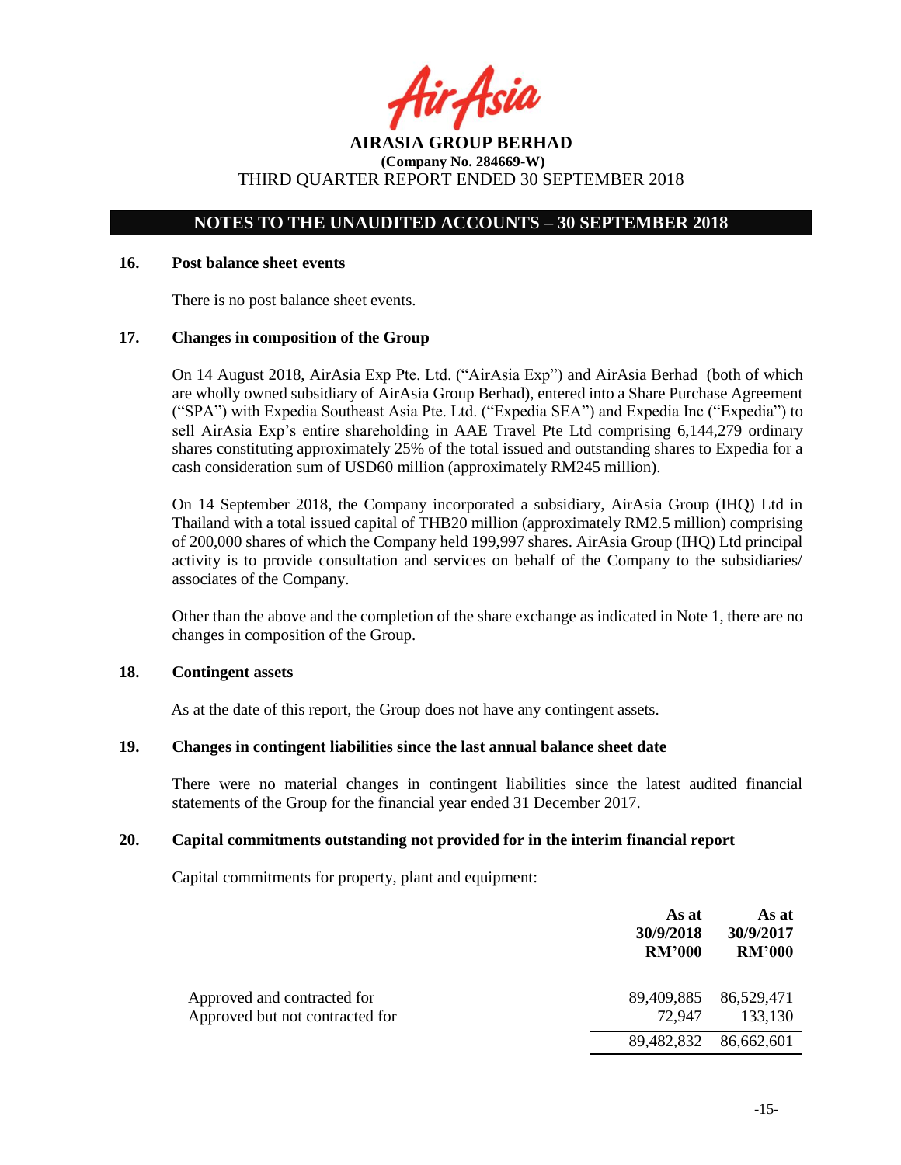fir<sub>t</sub>Asia

## **NOTES TO THE UNAUDITED ACCOUNTS – 30 SEPTEMBER 2018**

### **16. Post balance sheet events**

There is no post balance sheet events.

#### **17. Changes in composition of the Group**

On 14 August 2018, AirAsia Exp Pte. Ltd. ("AirAsia Exp") and AirAsia Berhad (both of which are wholly owned subsidiary of AirAsia Group Berhad), entered into a Share Purchase Agreement ("SPA") with Expedia Southeast Asia Pte. Ltd. ("Expedia SEA") and Expedia Inc ("Expedia") to sell AirAsia Exp's entire shareholding in AAE Travel Pte Ltd comprising 6,144,279 ordinary shares constituting approximately 25% of the total issued and outstanding shares to Expedia for a cash consideration sum of USD60 million (approximately RM245 million).

On 14 September 2018, the Company incorporated a subsidiary, AirAsia Group (IHQ) Ltd in Thailand with a total issued capital of THB20 million (approximately RM2.5 million) comprising of 200,000 shares of which the Company held 199,997 shares. AirAsia Group (IHQ) Ltd principal activity is to provide consultation and services on behalf of the Company to the subsidiaries/ associates of the Company.

Other than the above and the completion of the share exchange as indicated in Note 1, there are no changes in composition of the Group.

### **18. Contingent assets**

As at the date of this report, the Group does not have any contingent assets.

#### **19. Changes in contingent liabilities since the last annual balance sheet date**

There were no material changes in contingent liabilities since the latest audited financial statements of the Group for the financial year ended 31 December 2017.

#### **20. Capital commitments outstanding not provided for in the interim financial report**

Capital commitments for property, plant and equipment:

|                                                                | As at<br>30/9/2018<br><b>RM'000</b> | As at<br>30/9/2017<br><b>RM'000</b> |
|----------------------------------------------------------------|-------------------------------------|-------------------------------------|
| Approved and contracted for<br>Approved but not contracted for | 89,409,885<br>72.947                | 86,529,471<br>133,130               |
|                                                                | 89,482,832                          | 86,662,601                          |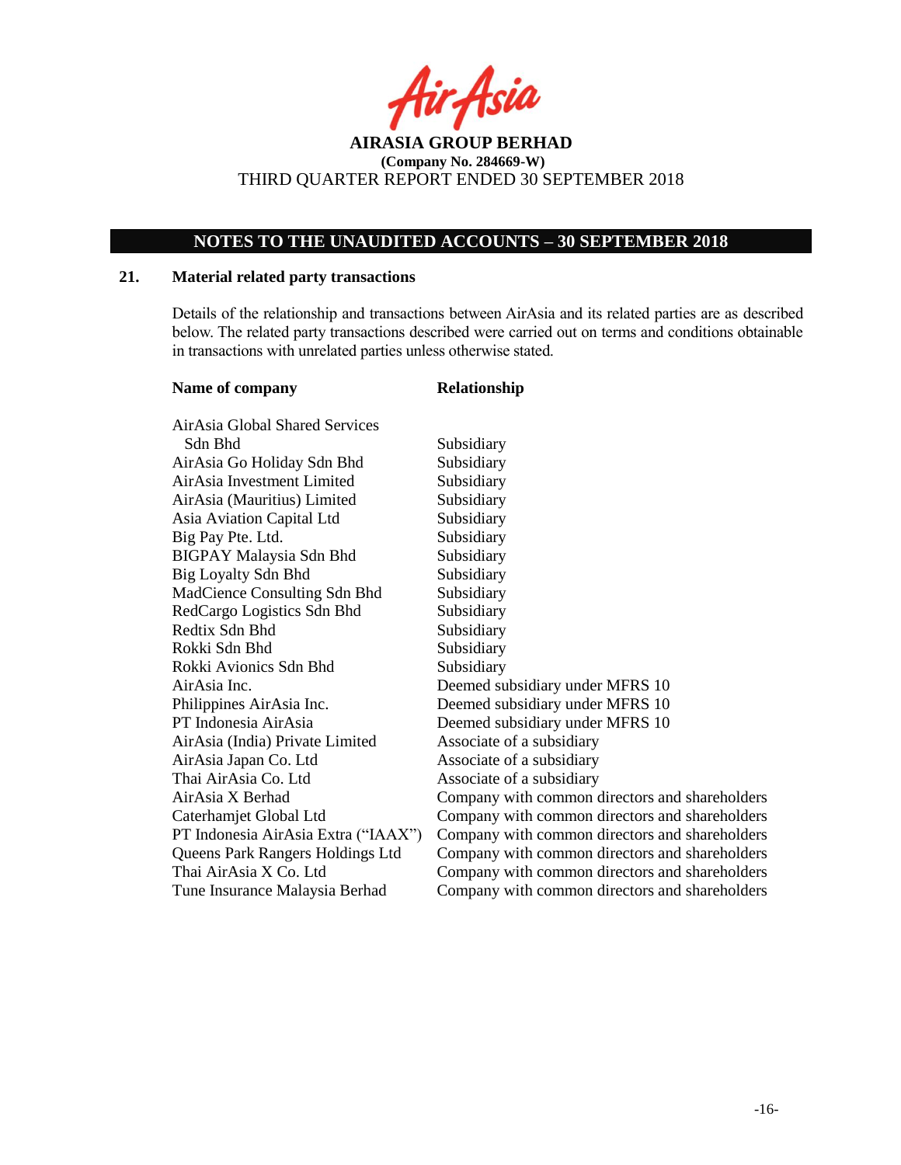r Asia

## **NOTES TO THE UNAUDITED ACCOUNTS – 30 SEPTEMBER 2018**

### **21. Material related party transactions**

Details of the relationship and transactions between AirAsia and its related parties are as described below. The related party transactions described were carried out on terms and conditions obtainable in transactions with unrelated parties unless otherwise stated.

| Name of company                     | Relationship                                   |
|-------------------------------------|------------------------------------------------|
| AirAsia Global Shared Services      |                                                |
| Sdn Bhd                             | Subsidiary                                     |
| AirAsia Go Holiday Sdn Bhd          | Subsidiary                                     |
| AirAsia Investment Limited          | Subsidiary                                     |
| AirAsia (Mauritius) Limited         | Subsidiary                                     |
| Asia Aviation Capital Ltd           | Subsidiary                                     |
| Big Pay Pte. Ltd.                   | Subsidiary                                     |
| <b>BIGPAY Malaysia Sdn Bhd</b>      | Subsidiary                                     |
| <b>Big Loyalty Sdn Bhd</b>          | Subsidiary                                     |
| MadCience Consulting Sdn Bhd        | Subsidiary                                     |
| RedCargo Logistics Sdn Bhd          | Subsidiary                                     |
| Redtix Sdn Bhd                      | Subsidiary                                     |
| Rokki Sdn Bhd                       | Subsidiary                                     |
| Rokki Avionics Sdn Bhd              | Subsidiary                                     |
| AirAsia Inc.                        | Deemed subsidiary under MFRS 10                |
| Philippines AirAsia Inc.            | Deemed subsidiary under MFRS 10                |
| PT Indonesia AirAsia                | Deemed subsidiary under MFRS 10                |
| AirAsia (India) Private Limited     | Associate of a subsidiary                      |
| AirAsia Japan Co. Ltd               | Associate of a subsidiary                      |
| Thai AirAsia Co. Ltd                | Associate of a subsidiary                      |
| AirAsia X Berhad                    | Company with common directors and shareholders |
| Caterhamjet Global Ltd              | Company with common directors and shareholders |
| PT Indonesia AirAsia Extra ("IAAX") | Company with common directors and shareholders |
| Queens Park Rangers Holdings Ltd    | Company with common directors and shareholders |
| Thai AirAsia X Co. Ltd              | Company with common directors and shareholders |
| Tune Insurance Malaysia Berhad      | Company with common directors and shareholders |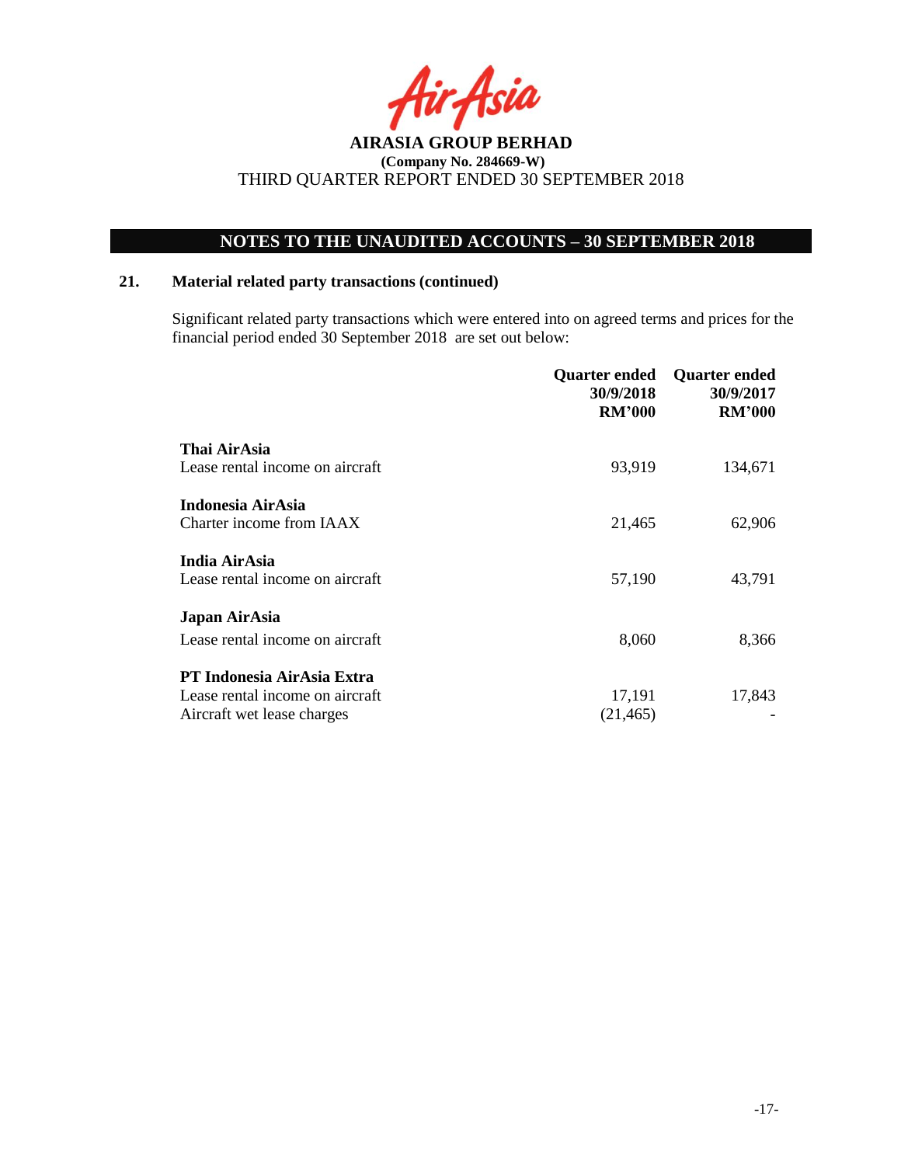rAsia

## **NOTES TO THE UNAUDITED ACCOUNTS – 30 SEPTEMBER 2018**

### **21. Material related party transactions (continued)**

Significant related party transactions which were entered into on agreed terms and prices for the financial period ended 30 September 2018 are set out below:

|                                   | Quarter ended<br>30/9/2018<br><b>RM'000</b> | <b>Quarter ended</b><br>30/9/2017<br><b>RM'000</b> |
|-----------------------------------|---------------------------------------------|----------------------------------------------------|
| Thai AirAsia                      |                                             |                                                    |
| Lease rental income on aircraft   | 93,919                                      | 134,671                                            |
| Indonesia AirAsia                 |                                             |                                                    |
| Charter income from IAAX          | 21,465                                      | 62,906                                             |
| India AirAsia                     |                                             |                                                    |
| Lease rental income on aircraft   | 57,190                                      | 43,791                                             |
| Japan AirAsia                     |                                             |                                                    |
| Lease rental income on aircraft   | 8,060                                       | 8,366                                              |
| <b>PT Indonesia AirAsia Extra</b> |                                             |                                                    |
| Lease rental income on aircraft   | 17,191                                      | 17,843                                             |
| Aircraft wet lease charges        | (21, 465)                                   |                                                    |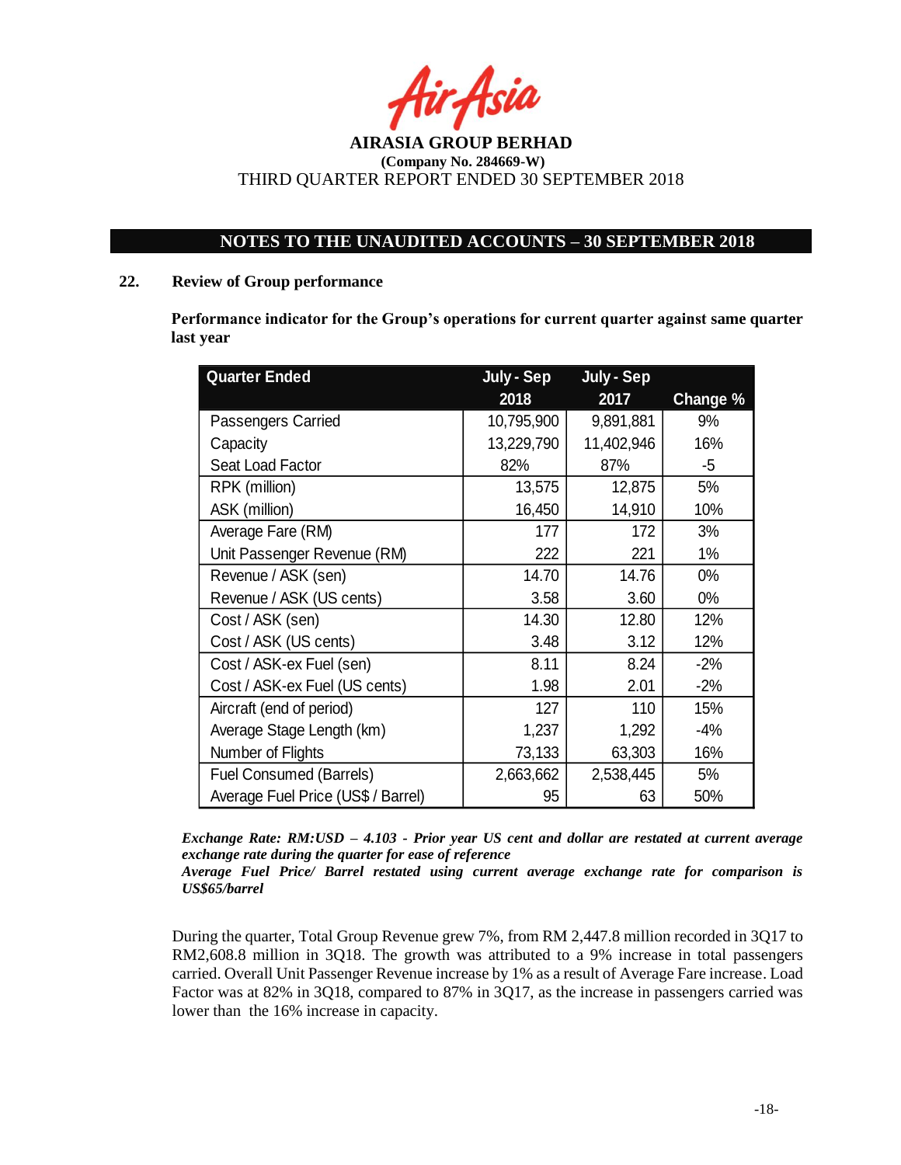tir Asia

## **NOTES TO THE UNAUDITED ACCOUNTS – 30 SEPTEMBER 2018**

#### **22. Review of Group performance**

**Performance indicator for the Group's operations for current quarter against same quarter last year**

| <b>Quarter Ended</b>               | July - Sep | July - Sep |          |
|------------------------------------|------------|------------|----------|
|                                    | 2018       | 2017       | Change % |
| Passengers Carried                 | 10,795,900 | 9,891,881  | 9%       |
| Capacity                           | 13,229,790 | 11,402,946 | 16%      |
| Seat Load Factor                   | 82%        | 87%        | -5       |
| RPK (million)                      | 13,575     | 12,875     | 5%       |
| ASK (million)                      | 16,450     | 14,910     | 10%      |
| Average Fare (RM)                  | 177        | 172        | 3%       |
| Unit Passenger Revenue (RM)        | 222        | 221        | 1%       |
| Revenue / ASK (sen)                | 14.70      | 14.76      | $0\%$    |
| Revenue / ASK (US cents)           | 3.58       | 3.60       | $0\%$    |
| Cost / ASK (sen)                   | 14.30      | 12.80      | 12%      |
| Cost / ASK (US cents)              | 3.48       | 3.12       | 12%      |
| Cost / ASK-ex Fuel (sen)           | 8.11       | 8.24       | $-2%$    |
| Cost / ASK-ex Fuel (US cents)      | 1.98       | 2.01       | $-2%$    |
| Aircraft (end of period)           | 127        | 110        | 15%      |
| Average Stage Length (km)          | 1,237      | 1,292      | $-4%$    |
| Number of Flights                  | 73,133     | 63,303     | 16%      |
| <b>Fuel Consumed (Barrels)</b>     | 2,663,662  | 2,538,445  | 5%       |
| Average Fuel Price (US\$ / Barrel) | 95         | 63         | 50%      |

*Exchange Rate: RM:USD – 4.103 - Prior year US cent and dollar are restated at current average exchange rate during the quarter for ease of reference*

*Average Fuel Price/ Barrel restated using current average exchange rate for comparison is US\$65/barrel*

During the quarter, Total Group Revenue grew 7%, from RM 2,447.8 million recorded in 3Q17 to RM2,608.8 million in 3Q18. The growth was attributed to a 9% increase in total passengers carried. Overall Unit Passenger Revenue increase by 1% as a result of Average Fare increase. Load Factor was at 82% in 3Q18, compared to 87% in 3Q17, as the increase in passengers carried was lower than the 16% increase in capacity.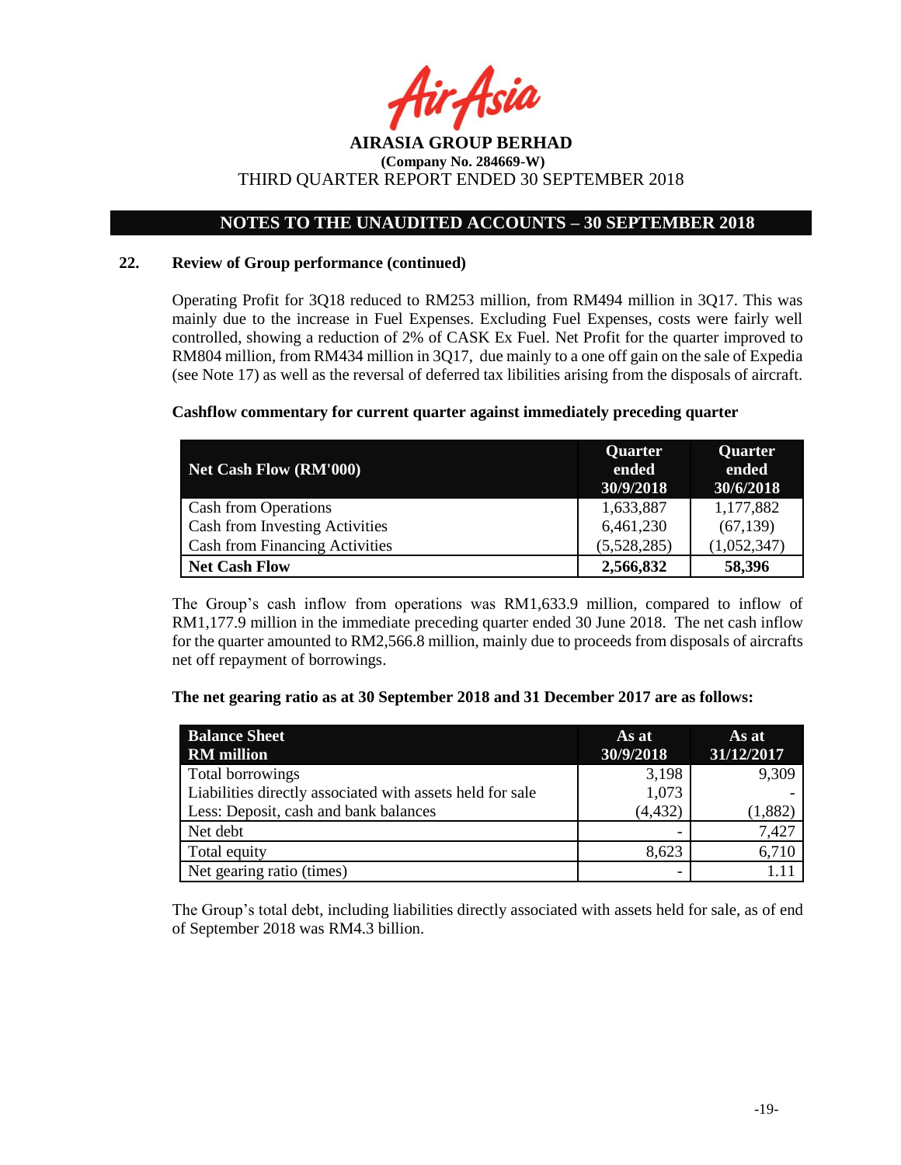hir Asia

## **NOTES TO THE UNAUDITED ACCOUNTS – 30 SEPTEMBER 2018**

### **22. Review of Group performance (continued)**

Operating Profit for 3Q18 reduced to RM253 million, from RM494 million in 3Q17. This was mainly due to the increase in Fuel Expenses. Excluding Fuel Expenses, costs were fairly well controlled, showing a reduction of 2% of CASK Ex Fuel. Net Profit for the quarter improved to RM804 million, from RM434 million in 3Q17, due mainly to a one off gain on the sale of Expedia (see Note 17) as well as the reversal of deferred tax libilities arising from the disposals of aircraft.

### **Cashflow commentary for current quarter against immediately preceding quarter**

| <b>Net Cash Flow (RM'000)</b>         | <b>Quarter</b><br>ended<br>30/9/2018 | <b>Quarter</b><br>ended<br>30/6/2018 |
|---------------------------------------|--------------------------------------|--------------------------------------|
| Cash from Operations                  | 1,633,887                            | 1,177,882                            |
| Cash from Investing Activities        | 6,461,230                            | (67, 139)                            |
| <b>Cash from Financing Activities</b> | (5,528,285)                          | (1,052,347)                          |
| <b>Net Cash Flow</b>                  | 2,566,832                            | 58,396                               |

The Group's cash inflow from operations was RM1,633.9 million, compared to inflow of RM1,177.9 million in the immediate preceding quarter ended 30 June 2018. The net cash inflow for the quarter amounted to RM2,566.8 million, mainly due to proceeds from disposals of aircrafts net off repayment of borrowings.

#### **The net gearing ratio as at 30 September 2018 and 31 December 2017 are as follows:**

| <b>Balance Sheet</b><br><b>RM</b> million                 | As at<br>30/9/2018 | As at<br>31/12/2017 |
|-----------------------------------------------------------|--------------------|---------------------|
| Total borrowings                                          | 3,198              | 9,309               |
| Liabilities directly associated with assets held for sale | 1,073              |                     |
| Less: Deposit, cash and bank balances                     | (4, 432)           | (1,882)             |
| Net debt                                                  |                    | 7,427               |
| Total equity                                              | 8,623              | 6,710               |
| Net gearing ratio (times)                                 |                    |                     |

The Group's total debt, including liabilities directly associated with assets held for sale, as of end of September 2018 was RM4.3 billion.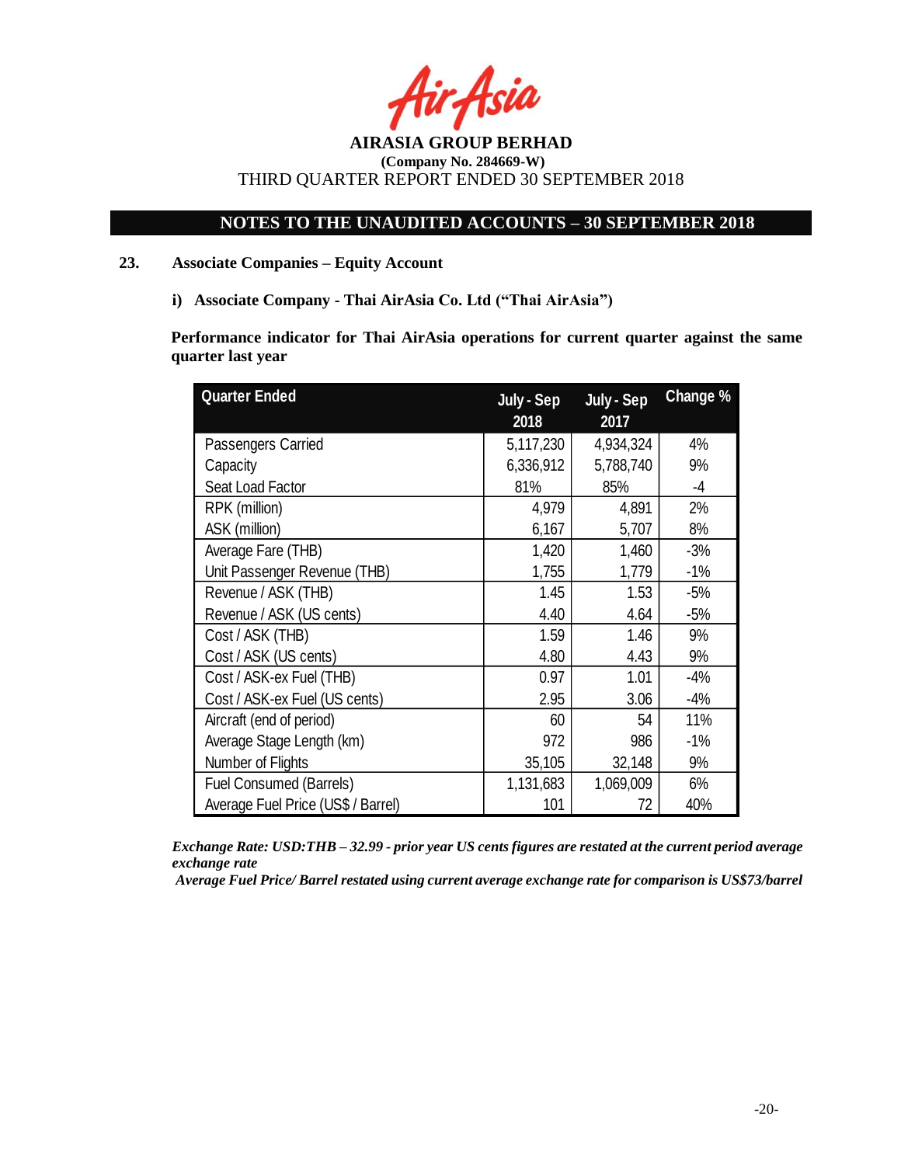## **NOTES TO THE UNAUDITED ACCOUNTS – 30 SEPTEMBER 2018**

## **23. Associate Companies – Equity Account**

**i) Associate Company - Thai AirAsia Co. Ltd ("Thai AirAsia")**

**Performance indicator for Thai AirAsia operations for current quarter against the same quarter last year**

| <b>Quarter Ended</b>               | July - Sep | July - Sep | Change % |
|------------------------------------|------------|------------|----------|
|                                    | 2018       | 2017       |          |
| Passengers Carried                 | 5,117,230  | 4,934,324  | 4%       |
| Capacity                           | 6,336,912  | 5,788,740  | 9%       |
| Seat Load Factor                   | 81%        | 85%        | $-4$     |
| RPK (million)                      | 4,979      | 4,891      | 2%       |
| ASK (million)                      | 6,167      | 5,707      | 8%       |
| Average Fare (THB)                 | 1,420      | 1,460      | $-3%$    |
| Unit Passenger Revenue (THB)       | 1,755      | 1,779      | $-1%$    |
| Revenue / ASK (THB)                | 1.45       | 1.53       | $-5%$    |
| Revenue / ASK (US cents)           | 4.40       | 4.64       | $-5%$    |
| Cost / ASK (THB)                   | 1.59       | 1.46       | 9%       |
| Cost / ASK (US cents)              | 4.80       | 4.43       | 9%       |
| Cost / ASK-ex Fuel (THB)           | 0.97       | 1.01       | $-4%$    |
| Cost / ASK-ex Fuel (US cents)      | 2.95       | 3.06       | $-4%$    |
| Aircraft (end of period)           | 60         | 54         | 11%      |
| Average Stage Length (km)          | 972        | 986        | $-1%$    |
| Number of Flights                  | 35,105     | 32,148     | 9%       |
| <b>Fuel Consumed (Barrels)</b>     | 1,131,683  | 1,069,009  | 6%       |
| Average Fuel Price (US\$ / Barrel) | 101        | 72         | 40%      |

*Exchange Rate: USD:THB – 32.99 - prior year US cents figures are restated at the current period average exchange rate*

*Average Fuel Price/ Barrel restated using current average exchange rate for comparison is US\$73/barrel*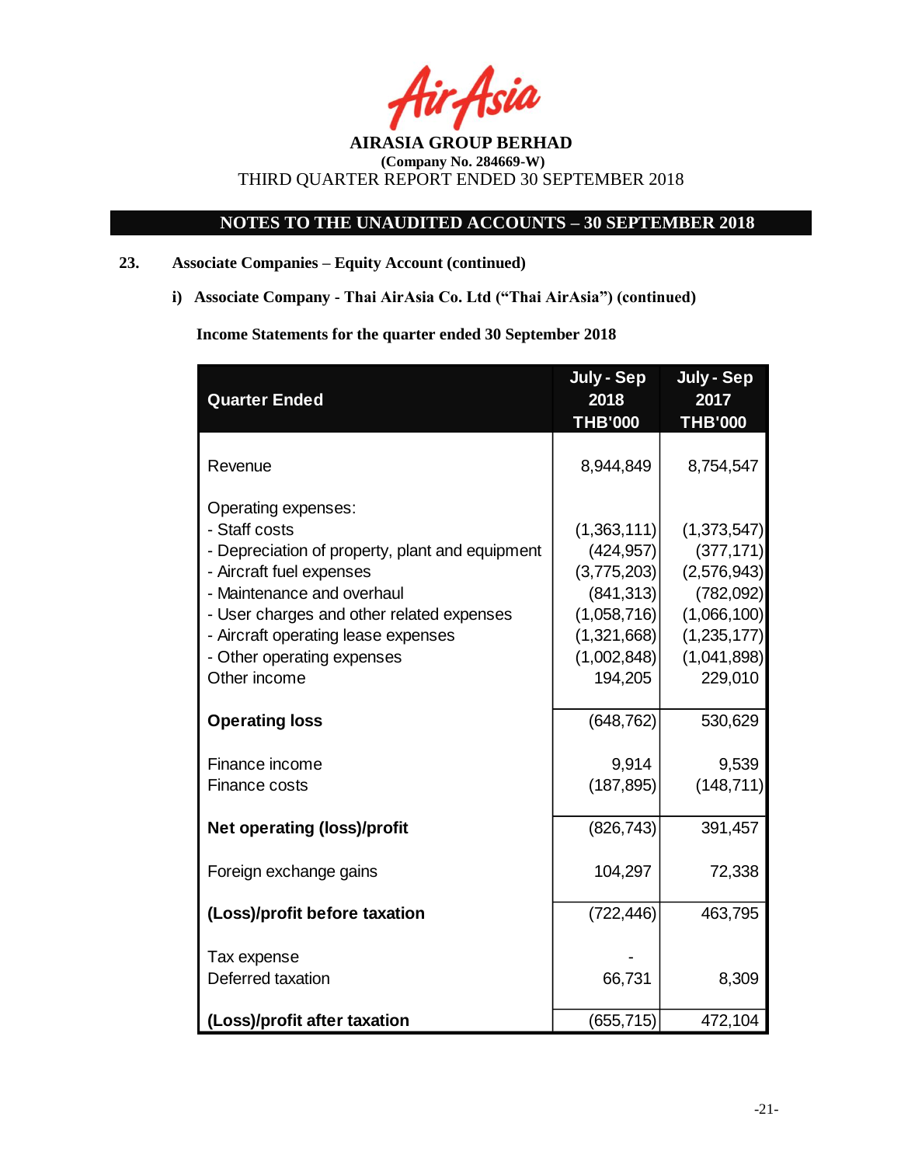-Asia

## **NOTES TO THE UNAUDITED ACCOUNTS – 30 SEPTEMBER 2018**

## **23. Associate Companies – Equity Account (continued)**

**i) Associate Company - Thai AirAsia Co. Ltd ("Thai AirAsia") (continued)**

 **Income Statements for the quarter ended 30 September 2018**

| <b>Quarter Ended</b>                            | July - Sep<br>2018 | July - Sep<br>2017 |
|-------------------------------------------------|--------------------|--------------------|
|                                                 | <b>THB'000</b>     | <b>THB'000</b>     |
| Revenue                                         | 8,944,849          | 8,754,547          |
| Operating expenses:                             |                    |                    |
| - Staff costs                                   | (1,363,111)        | (1,373,547)        |
| - Depreciation of property, plant and equipment | (424, 957)         | (377, 171)         |
| - Aircraft fuel expenses                        | (3,775,203)        | (2,576,943)        |
| - Maintenance and overhaul                      | (841, 313)         | (782,092)          |
| - User charges and other related expenses       | (1,058,716)        | (1,066,100)        |
| - Aircraft operating lease expenses             | (1,321,668)        | (1, 235, 177)      |
| - Other operating expenses                      | (1,002,848)        | (1,041,898)        |
| Other income                                    | 194,205            | 229,010            |
| <b>Operating loss</b>                           | (648, 762)         | 530,629            |
|                                                 |                    |                    |
| Finance income                                  | 9,914              | 9,539              |
| Finance costs                                   | (187, 895)         | (148, 711)         |
| <b>Net operating (loss)/profit</b>              | (826, 743)         | 391,457            |
|                                                 |                    |                    |
| Foreign exchange gains                          | 104,297            | 72,338             |
| (Loss)/profit before taxation                   | (722, 446)         | 463,795            |
| Tax expense                                     |                    |                    |
| Deferred taxation                               | 66,731             | 8,309              |
|                                                 |                    |                    |
| (Loss)/profit after taxation                    | (655, 715)         | 472,104            |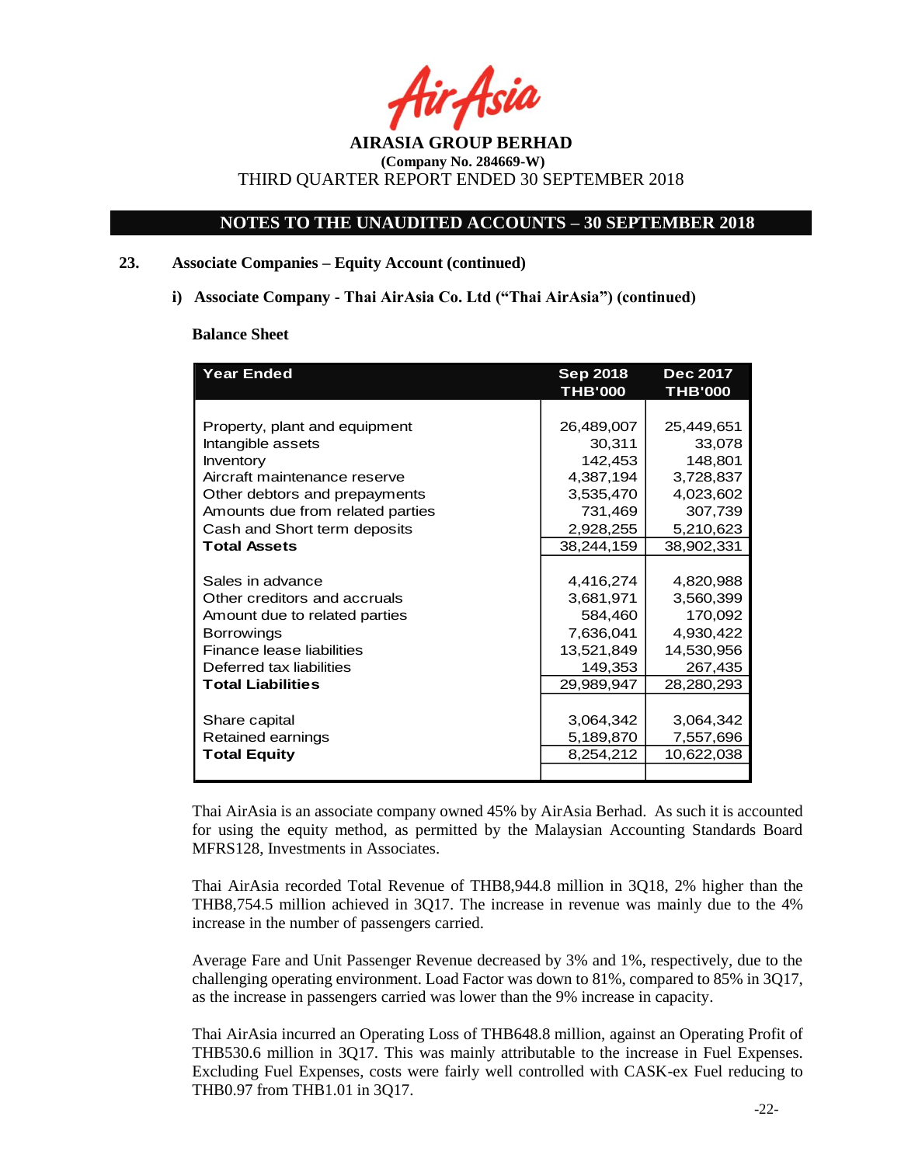fir Asia

## **NOTES TO THE UNAUDITED ACCOUNTS – 30 SEPTEMBER 2018**

## **23. Associate Companies – Equity Account (continued)**

**i) Associate Company - Thai AirAsia Co. Ltd ("Thai AirAsia") (continued)**

#### **Balance Sheet**

| <b>Year Ended</b>                | <b>Sep 2018</b><br><b>THB'000</b> | <b>Dec 2017</b><br><b>THB'000</b> |
|----------------------------------|-----------------------------------|-----------------------------------|
|                                  |                                   |                                   |
| Property, plant and equipment    | 26,489,007                        | 25,449,651                        |
| Intangible assets                | 30,311                            | 33,078                            |
| <b>Inventory</b>                 | 142,453                           | 148,801                           |
| Aircraft maintenance reserve     | 4,387,194                         | 3,728,837                         |
| Other debtors and prepayments    | 3,535,470                         | 4,023,602                         |
| Amounts due from related parties | 731,469                           | 307,739                           |
| Cash and Short term deposits     | 2,928,255                         | 5,210,623                         |
| <b>Total Assets</b>              | 38,244,159                        | 38,902,331                        |
|                                  |                                   |                                   |
| Sales in advance                 | 4,416,274                         | 4,820,988                         |
| Other creditors and accruals     | 3,681,971                         | 3,560,399                         |
| Amount due to related parties    | 584,460                           | 170,092                           |
| <b>Borrowings</b>                | 7,636,041                         | 4,930,422                         |
| Finance lease liabilities        | 13,521,849                        | 14,530,956                        |
| Deferred tax liabilities         | 149,353                           | 267,435                           |
| <b>Total Liabilities</b>         | 29,989,947                        | 28,280,293                        |
|                                  |                                   |                                   |
| Share capital                    | 3,064,342                         | 3,064,342                         |
| Retained earnings                | 5,189,870                         | 7,557,696                         |
| <b>Total Equity</b>              | 8,254,212                         | 10,622,038                        |
|                                  |                                   |                                   |

Thai AirAsia is an associate company owned 45% by AirAsia Berhad. As such it is accounted for using the equity method, as permitted by the Malaysian Accounting Standards Board MFRS128, Investments in Associates.

Thai AirAsia recorded Total Revenue of THB8,944.8 million in 3Q18, 2% higher than the THB8,754.5 million achieved in 3Q17. The increase in revenue was mainly due to the 4% increase in the number of passengers carried.

Average Fare and Unit Passenger Revenue decreased by 3% and 1%, respectively, due to the challenging operating environment. Load Factor was down to 81%, compared to 85% in 3Q17, as the increase in passengers carried was lower than the 9% increase in capacity.

Thai AirAsia incurred an Operating Loss of THB648.8 million, against an Operating Profit of THB530.6 million in 3Q17. This was mainly attributable to the increase in Fuel Expenses. Excluding Fuel Expenses, costs were fairly well controlled with CASK-ex Fuel reducing to THB0.97 from THB1.01 in 3Q17.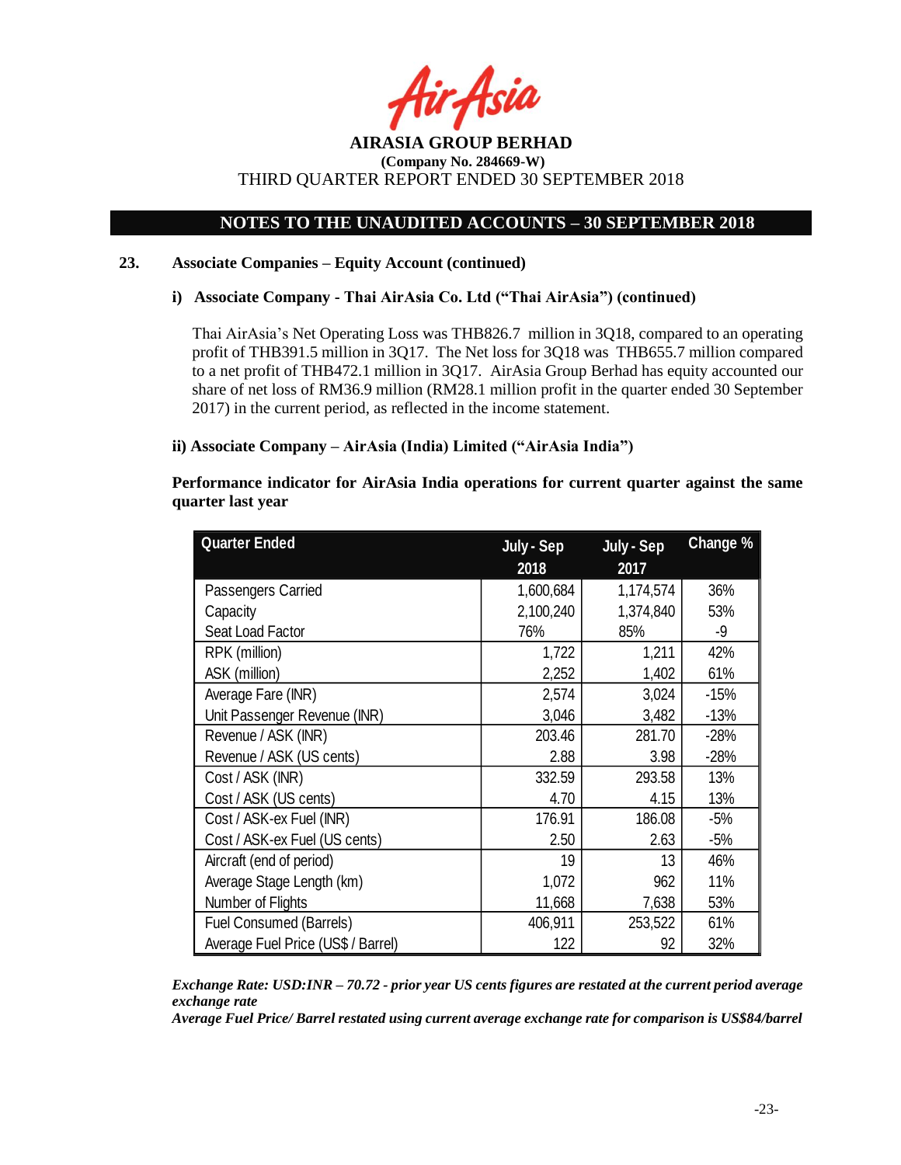r Asia

## **NOTES TO THE UNAUDITED ACCOUNTS – 30 SEPTEMBER 2018**

### **23. Associate Companies – Equity Account (continued)**

**i) Associate Company - Thai AirAsia Co. Ltd ("Thai AirAsia") (continued)** 

Thai AirAsia's Net Operating Loss was THB826.7 million in 3Q18, compared to an operating profit of THB391.5 million in 3Q17. The Net loss for 3Q18 was THB655.7 million compared to a net profit of THB472.1 million in 3Q17. AirAsia Group Berhad has equity accounted our share of net loss of RM36.9 million (RM28.1 million profit in the quarter ended 30 September 2017) in the current period, as reflected in the income statement.

## **ii) Associate Company – AirAsia (India) Limited ("AirAsia India")**

| Performance indicator for AirAsia India operations for current quarter against the same |  |  |  |  |
|-----------------------------------------------------------------------------------------|--|--|--|--|
| quarter last year                                                                       |  |  |  |  |

| <b>Quarter Ended</b>               | July - Sep | July - Sep | Change % |
|------------------------------------|------------|------------|----------|
|                                    | 2018       | 2017       |          |
| Passengers Carried                 | 1,600,684  | 1,174,574  | 36%      |
| Capacity                           | 2,100,240  | 1,374,840  | 53%      |
| Seat Load Factor                   | 76%        | 85%        | -9       |
| RPK (million)                      | 1,722      | 1,211      | 42%      |
| ASK (million)                      | 2,252      | 1,402      | 61%      |
| Average Fare (INR)                 | 2,574      | 3,024      | $-15%$   |
| Unit Passenger Revenue (INR)       | 3,046      | 3,482      | $-13%$   |
| Revenue / ASK (INR)                | 203.46     | 281.70     | $-28%$   |
| Revenue / ASK (US cents)           | 2.88       | 3.98       | $-28%$   |
| Cost / ASK (INR)                   | 332.59     | 293.58     | 13%      |
| Cost / ASK (US cents)              | 4.70       | 4.15       | 13%      |
| Cost / ASK-ex Fuel (INR)           | 176.91     | 186.08     | -5%      |
| Cost / ASK-ex Fuel (US cents)      | 2.50       | 2.63       | $-5%$    |
| Aircraft (end of period)           | 19         | 13         | 46%      |
| Average Stage Length (km)          | 1,072      | 962        | 11%      |
| Number of Flights                  | 11,668     | 7,638      | 53%      |
| Fuel Consumed (Barrels)            | 406,911    | 253,522    | 61%      |
| Average Fuel Price (US\$ / Barrel) | 122        | 92         | 32%      |

*Exchange Rate: USD:INR – 70.72 - prior year US cents figures are restated at the current period average exchange rate*

*Average Fuel Price/ Barrel restated using current average exchange rate for comparison is US\$84/barrel*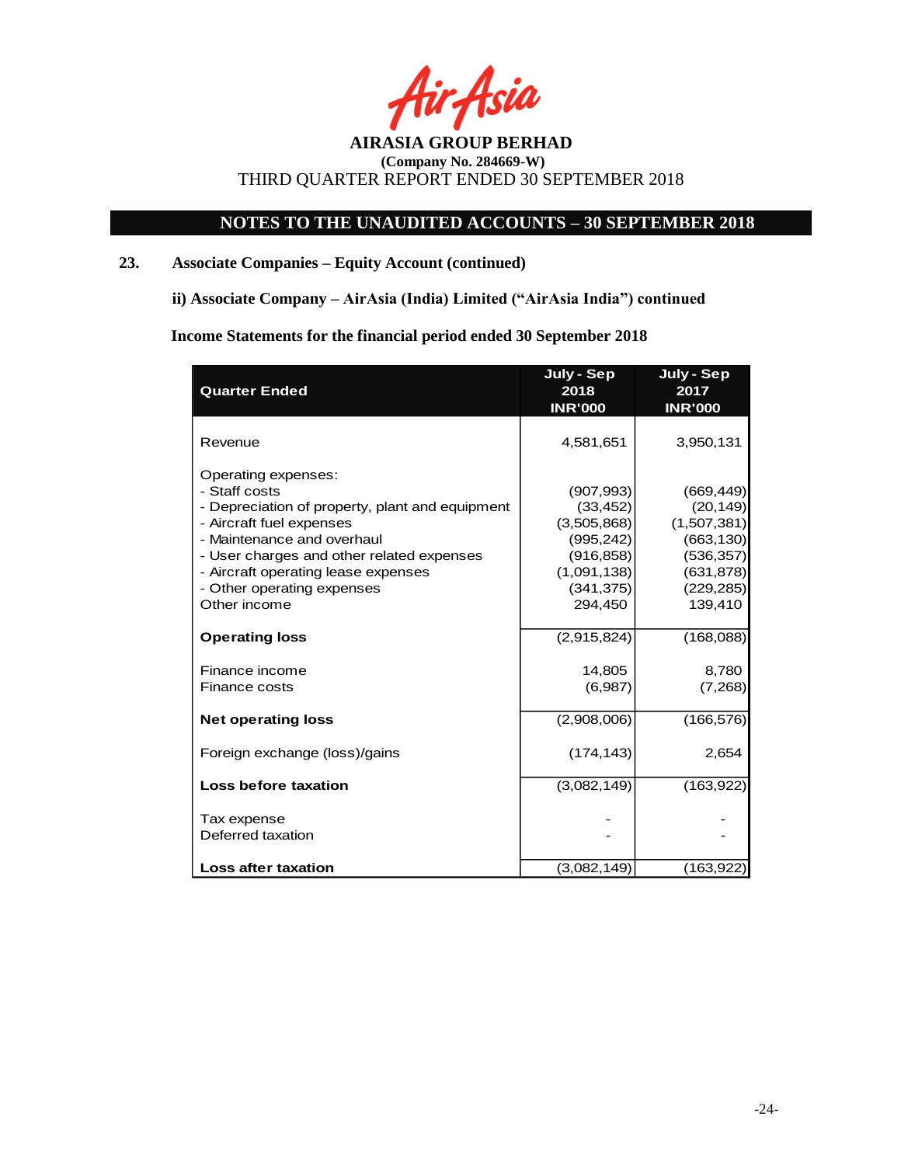Asia

## **NOTES TO THE UNAUDITED ACCOUNTS – 30 SEPTEMBER 2018**

## **23. Associate Companies – Equity Account (continued)**

**ii) Associate Company – AirAsia (India) Limited ("AirAsia India") continued** 

**Income Statements for the financial period ended 30 September 2018**

| <b>Quarter Ended</b>                                                                                                                                                                                                                                                                | July - Sep<br>2018<br><b>INR'000</b>                                                                       | July - Sep<br>2017<br><b>INR'000</b>                                                                      |
|-------------------------------------------------------------------------------------------------------------------------------------------------------------------------------------------------------------------------------------------------------------------------------------|------------------------------------------------------------------------------------------------------------|-----------------------------------------------------------------------------------------------------------|
| Revenue                                                                                                                                                                                                                                                                             | 4,581,651                                                                                                  | 3,950,131                                                                                                 |
| Operating expenses:<br>- Staff costs<br>- Depreciation of property, plant and equipment<br>- Aircraft fuel expenses<br>- Maintenance and overhaul<br>- User charges and other related expenses<br>- Aircraft operating lease expenses<br>- Other operating expenses<br>Other income | (907, 993)<br>(33, 452)<br>(3,505,868)<br>(995, 242)<br>(916, 858)<br>(1,091,138)<br>(341, 375)<br>294,450 | (669, 449)<br>(20, 149)<br>(1,507,381)<br>(663, 130)<br>(536, 357)<br>(631, 878)<br>(229, 285)<br>139,410 |
| <b>Operating loss</b>                                                                                                                                                                                                                                                               | (2,915,824)                                                                                                | (168,088)                                                                                                 |
| Finance income<br><b>Finance costs</b>                                                                                                                                                                                                                                              | 14,805<br>(6,987)                                                                                          | 8,780<br>(7,268)                                                                                          |
| <b>Net operating loss</b>                                                                                                                                                                                                                                                           | (2,908,006)                                                                                                | (166, 576)                                                                                                |
| Foreign exchange (loss)/gains                                                                                                                                                                                                                                                       | (174, 143)                                                                                                 | 2,654                                                                                                     |
| <b>Loss before taxation</b>                                                                                                                                                                                                                                                         | (3,082,149)                                                                                                | (163, 922)                                                                                                |
| Tax expense<br>Deferred taxation                                                                                                                                                                                                                                                    |                                                                                                            |                                                                                                           |
| <b>Loss after taxation</b>                                                                                                                                                                                                                                                          | (3,082,149)                                                                                                | (163, 922)                                                                                                |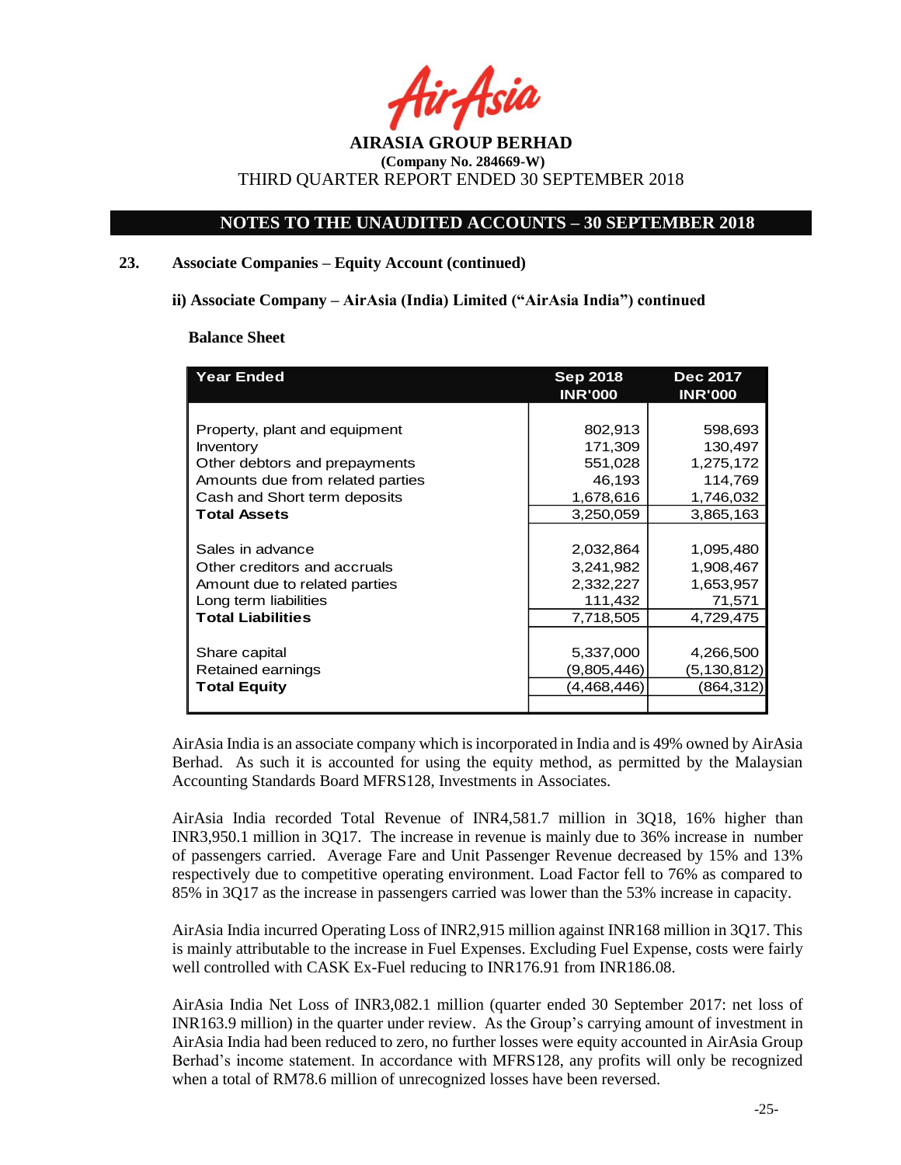fir Asia

## **NOTES TO THE UNAUDITED ACCOUNTS – 30 SEPTEMBER 2018**

### **23. Associate Companies – Equity Account (continued)**

#### **ii) Associate Company – AirAsia (India) Limited ("AirAsia India") continued**

#### **Balance Sheet**

| <b>Year Ended</b>                | <b>Sep 2018</b><br><b>INR'000</b> | <b>Dec 2017</b><br><b>INR'000</b> |
|----------------------------------|-----------------------------------|-----------------------------------|
|                                  |                                   |                                   |
| Property, plant and equipment    | 802,913                           | 598,693                           |
| Inventory                        | 171,309                           | 130,497                           |
| Other debtors and prepayments    | 551,028                           | 1,275,172                         |
| Amounts due from related parties | 46,193                            | 114,769                           |
| Cash and Short term deposits     | 1,678,616                         | 1,746,032                         |
| <b>Total Assets</b>              | 3,250,059                         | 3,865,163                         |
|                                  |                                   |                                   |
| Sales in advance                 | 2,032,864                         | 1,095,480                         |
| Other creditors and accruals     | 3,241,982                         | 1,908,467                         |
| Amount due to related parties    | 2,332,227                         | 1,653,957                         |
| Long term liabilities            | 111,432                           | 71,571                            |
| <b>Total Liabilities</b>         | 7,718,505                         | 4,729,475                         |
|                                  |                                   |                                   |
| Share capital                    | 5,337,000                         | 4,266,500                         |
| Retained earnings                | (9,805,446)                       | (5,130,812)                       |
| <b>Total Equity</b>              | (4,468,446)                       | (864,312)                         |
|                                  |                                   |                                   |

AirAsia India is an associate company which is incorporated in India and is 49% owned by AirAsia Berhad. As such it is accounted for using the equity method, as permitted by the Malaysian Accounting Standards Board MFRS128, Investments in Associates.

AirAsia India recorded Total Revenue of INR4,581.7 million in 3Q18, 16% higher than INR3,950.1 million in 3Q17. The increase in revenue is mainly due to 36% increase in number of passengers carried. Average Fare and Unit Passenger Revenue decreased by 15% and 13% respectively due to competitive operating environment. Load Factor fell to 76% as compared to 85% in 3Q17 as the increase in passengers carried was lower than the 53% increase in capacity.

AirAsia India incurred Operating Loss of INR2,915 million against INR168 million in 3Q17. This is mainly attributable to the increase in Fuel Expenses. Excluding Fuel Expense, costs were fairly well controlled with CASK Ex-Fuel reducing to INR176.91 from INR186.08.

AirAsia India Net Loss of INR3,082.1 million (quarter ended 30 September 2017: net loss of INR163.9 million) in the quarter under review. As the Group's carrying amount of investment in AirAsia India had been reduced to zero, no further losses were equity accounted in AirAsia Group Berhad's income statement. In accordance with MFRS128, any profits will only be recognized when a total of RM78.6 million of unrecognized losses have been reversed.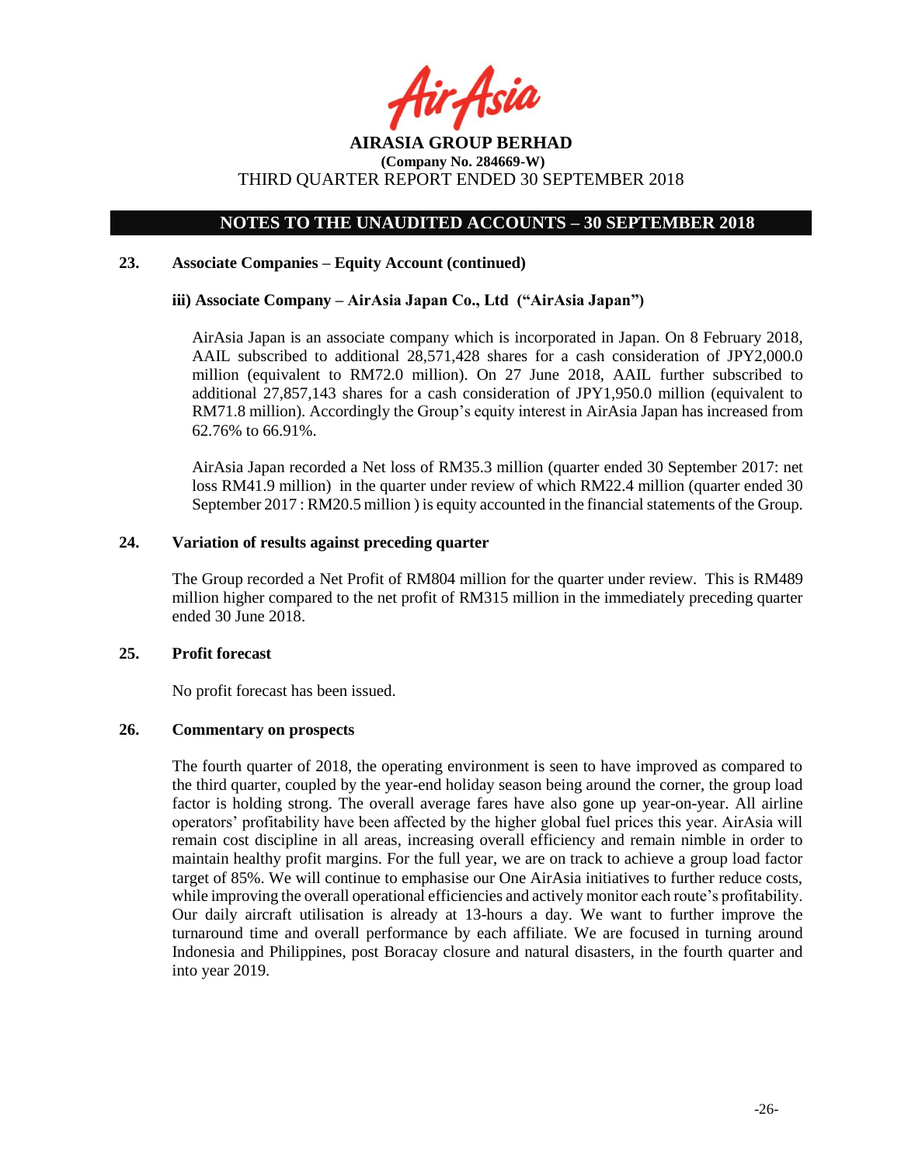fir<sub>t</sub>Asia

## **NOTES TO THE UNAUDITED ACCOUNTS – 30 SEPTEMBER 2018**

### **23. Associate Companies – Equity Account (continued)**

## **iii) Associate Company – AirAsia Japan Co., Ltd ("AirAsia Japan")**

AirAsia Japan is an associate company which is incorporated in Japan. On 8 February 2018, AAIL subscribed to additional 28,571,428 shares for a cash consideration of JPY2,000.0 million (equivalent to RM72.0 million). On 27 June 2018, AAIL further subscribed to additional 27,857,143 shares for a cash consideration of JPY1,950.0 million (equivalent to RM71.8 million). Accordingly the Group's equity interest in AirAsia Japan has increased from 62.76% to 66.91%.

AirAsia Japan recorded a Net loss of RM35.3 million (quarter ended 30 September 2017: net loss RM41.9 million) in the quarter under review of which RM22.4 million (quarter ended 30 September 2017 : RM20.5 million ) is equity accounted in the financial statements of the Group.

## **24. Variation of results against preceding quarter**

The Group recorded a Net Profit of RM804 million for the quarter under review. This is RM489 million higher compared to the net profit of RM315 million in the immediately preceding quarter ended 30 June 2018.

#### **25. Profit forecast**

No profit forecast has been issued.

#### **26. Commentary on prospects**

The fourth quarter of 2018, the operating environment is seen to have improved as compared to the third quarter, coupled by the year-end holiday season being around the corner, the group load factor is holding strong. The overall average fares have also gone up year-on-year. All airline operators' profitability have been affected by the higher global fuel prices this year. AirAsia will remain cost discipline in all areas, increasing overall efficiency and remain nimble in order to maintain healthy profit margins. For the full year, we are on track to achieve a group load factor target of 85%. We will continue to emphasise our One AirAsia initiatives to further reduce costs, while improving the overall operational efficiencies and actively monitor each route's profitability. Our daily aircraft utilisation is already at 13-hours a day. We want to further improve the turnaround time and overall performance by each affiliate. We are focused in turning around Indonesia and Philippines, post Boracay closure and natural disasters, in the fourth quarter and into year 2019.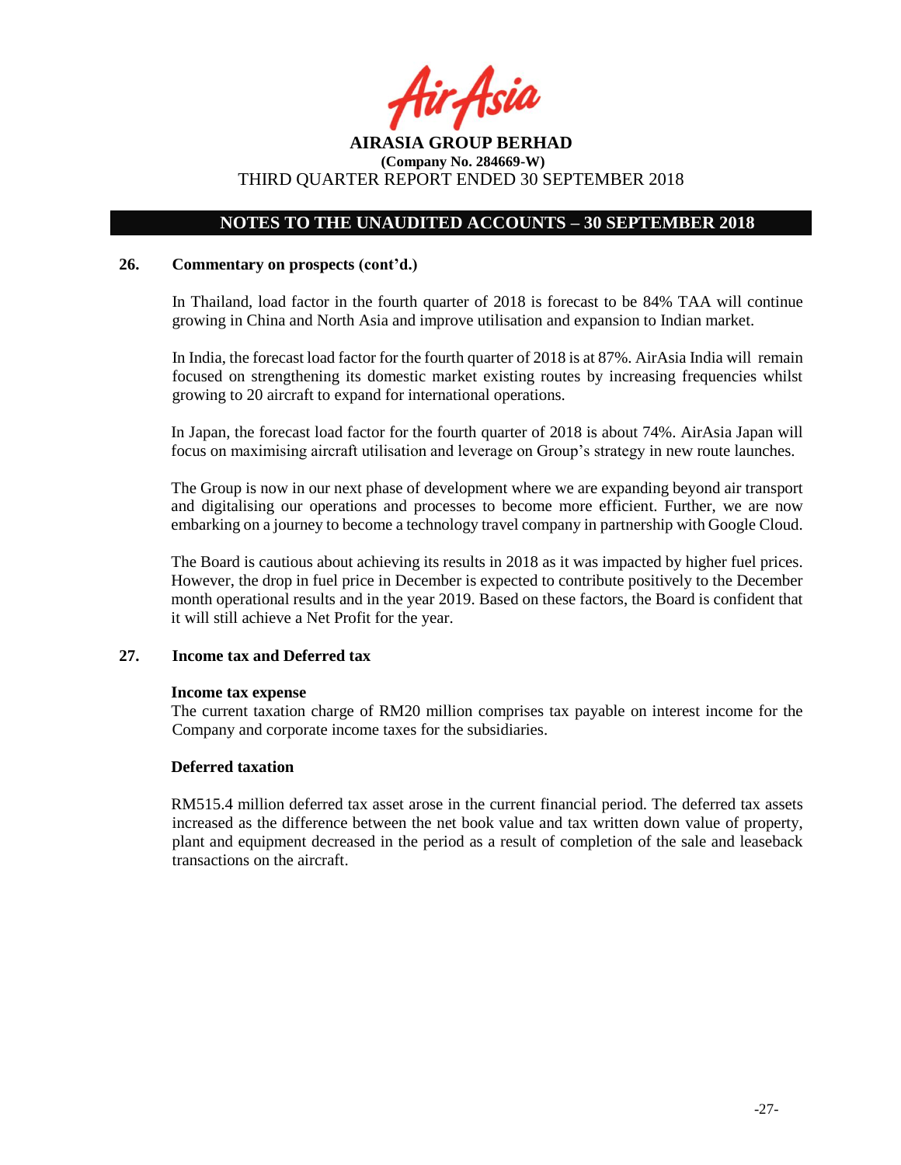fir<sub>t</sub>Asia

## **NOTES TO THE UNAUDITED ACCOUNTS – 30 SEPTEMBER 2018**

#### **26. Commentary on prospects (cont'd.)**

In Thailand, load factor in the fourth quarter of 2018 is forecast to be 84% TAA will continue growing in China and North Asia and improve utilisation and expansion to Indian market.

In India, the forecast load factor for the fourth quarter of 2018 is at 87%. AirAsia India will remain focused on strengthening its domestic market existing routes by increasing frequencies whilst growing to 20 aircraft to expand for international operations.

In Japan, the forecast load factor for the fourth quarter of 2018 is about 74%. AirAsia Japan will focus on maximising aircraft utilisation and leverage on Group's strategy in new route launches.

The Group is now in our next phase of development where we are expanding beyond air transport and digitalising our operations and processes to become more efficient. Further, we are now embarking on a journey to become a technology travel company in partnership with Google Cloud.

The Board is cautious about achieving its results in 2018 as it was impacted by higher fuel prices. However, the drop in fuel price in December is expected to contribute positively to the December month operational results and in the year 2019. Based on these factors, the Board is confident that it will still achieve a Net Profit for the year.

## **27. Income tax and Deferred tax**

#### **Income tax expense**

The current taxation charge of RM20 million comprises tax payable on interest income for the Company and corporate income taxes for the subsidiaries.

#### **Deferred taxation**

RM515.4 million deferred tax asset arose in the current financial period. The deferred tax assets increased as the difference between the net book value and tax written down value of property, plant and equipment decreased in the period as a result of completion of the sale and leaseback transactions on the aircraft.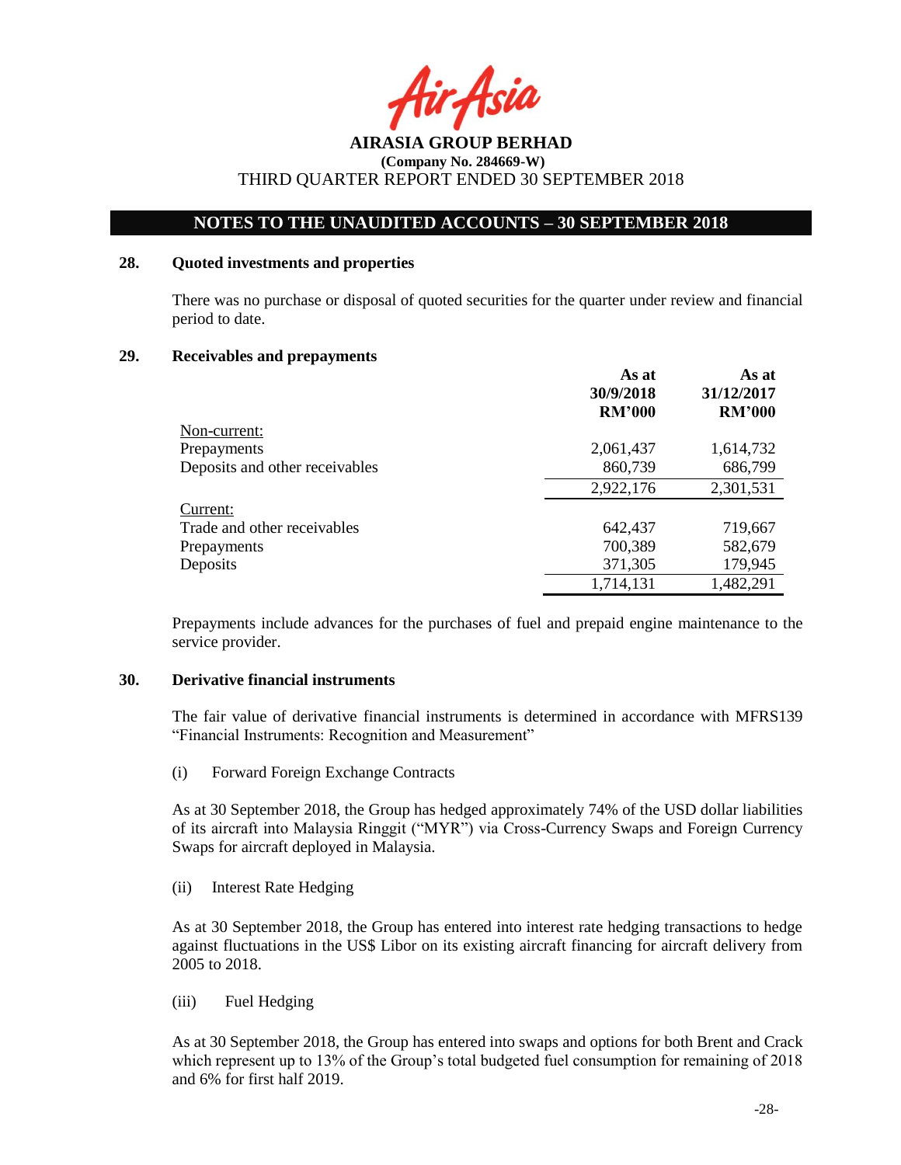fir<sub>t</sub>Asia

## **NOTES TO THE UNAUDITED ACCOUNTS – 30 SEPTEMBER 2018**

## **28. Quoted investments and properties**

There was no purchase or disposal of quoted securities for the quarter under review and financial period to date.

## **29. Receivables and prepayments**

|                                | As at<br>30/9/2018<br><b>RM'000</b> | As at<br>31/12/2017<br><b>RM'000</b> |
|--------------------------------|-------------------------------------|--------------------------------------|
| Non-current:                   |                                     |                                      |
| Prepayments                    | 2,061,437                           | 1,614,732                            |
| Deposits and other receivables | 860,739                             | 686,799                              |
|                                | 2,922,176                           | 2,301,531                            |
| Current:                       |                                     |                                      |
| Trade and other receivables    | 642,437                             | 719,667                              |
| Prepayments                    | 700,389                             | 582,679                              |
| Deposits                       | 371,305                             | 179,945                              |
|                                | 1,714,131                           | 1,482,291                            |

Prepayments include advances for the purchases of fuel and prepaid engine maintenance to the service provider.

#### **30. Derivative financial instruments**

The fair value of derivative financial instruments is determined in accordance with MFRS139 "Financial Instruments: Recognition and Measurement"

(i) Forward Foreign Exchange Contracts

As at 30 September 2018, the Group has hedged approximately 74% of the USD dollar liabilities of its aircraft into Malaysia Ringgit ("MYR") via Cross-Currency Swaps and Foreign Currency Swaps for aircraft deployed in Malaysia.

(ii) Interest Rate Hedging

As at 30 September 2018, the Group has entered into interest rate hedging transactions to hedge against fluctuations in the US\$ Libor on its existing aircraft financing for aircraft delivery from 2005 to 2018.

(iii) Fuel Hedging

As at 30 September 2018, the Group has entered into swaps and options for both Brent and Crack which represent up to 13% of the Group's total budgeted fuel consumption for remaining of 2018 and 6% for first half 2019.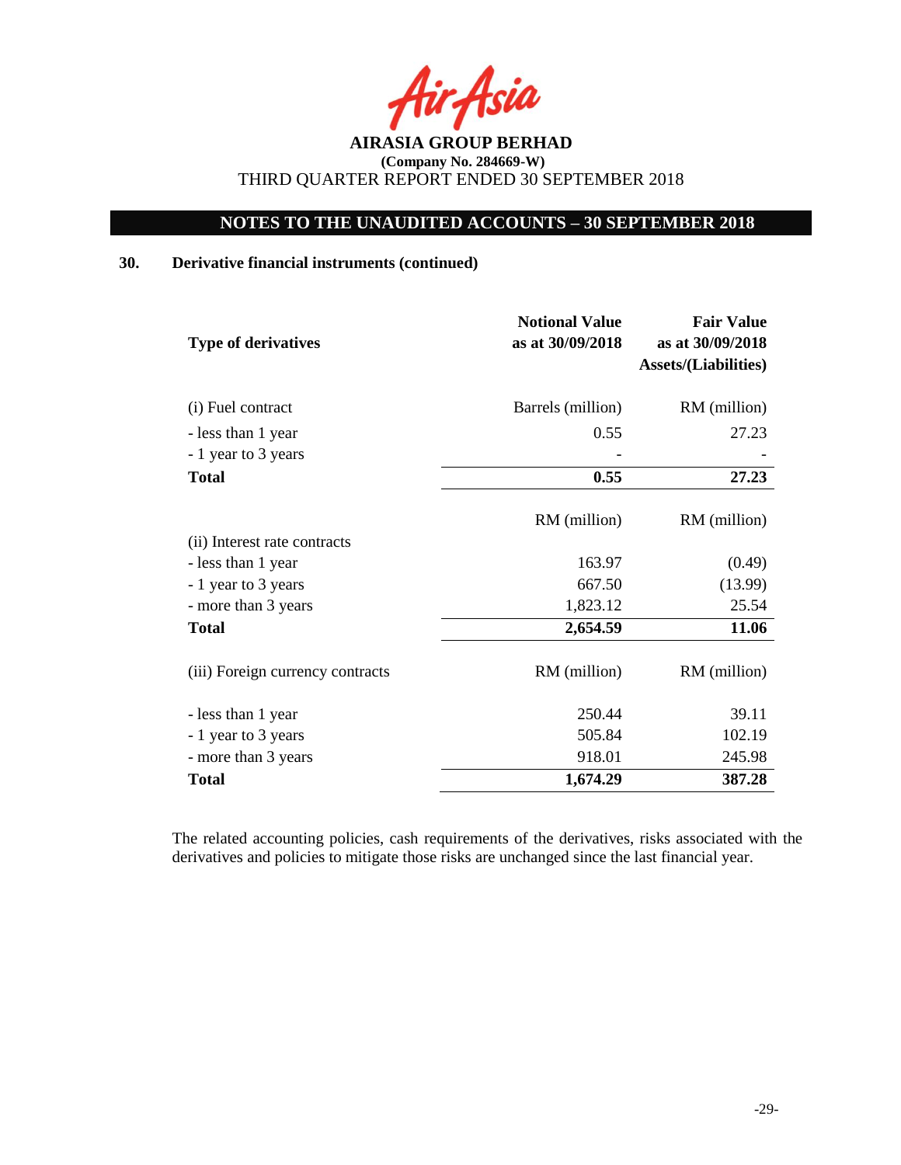rAsia

## **NOTES TO THE UNAUDITED ACCOUNTS – 30 SEPTEMBER 2018**

## **30. Derivative financial instruments (continued)**

| <b>Type of derivatives</b>       | <b>Notional Value</b><br>as at 30/09/2018 | <b>Fair Value</b><br>as at 30/09/2018<br><b>Assets/(Liabilities)</b> |
|----------------------------------|-------------------------------------------|----------------------------------------------------------------------|
| (i) Fuel contract                | Barrels (million)                         | RM (million)                                                         |
| - less than 1 year               | 0.55                                      | 27.23                                                                |
| - 1 year to 3 years              |                                           |                                                                      |
| <b>Total</b>                     | 0.55                                      | 27.23                                                                |
|                                  | RM (million)                              | RM (million)                                                         |
| (ii) Interest rate contracts     |                                           |                                                                      |
| - less than 1 year               | 163.97                                    | (0.49)                                                               |
| - 1 year to 3 years              | 667.50                                    | (13.99)                                                              |
| - more than 3 years              | 1,823.12                                  | 25.54                                                                |
| <b>Total</b>                     | 2,654.59                                  | 11.06                                                                |
| (iii) Foreign currency contracts | RM (million)                              | RM (million)                                                         |
| - less than 1 year               | 250.44                                    | 39.11                                                                |
| - 1 year to 3 years              | 505.84                                    | 102.19                                                               |
| - more than 3 years              | 918.01                                    | 245.98                                                               |
| <b>Total</b>                     | 1,674.29                                  | 387.28                                                               |

The related accounting policies, cash requirements of the derivatives, risks associated with the derivatives and policies to mitigate those risks are unchanged since the last financial year.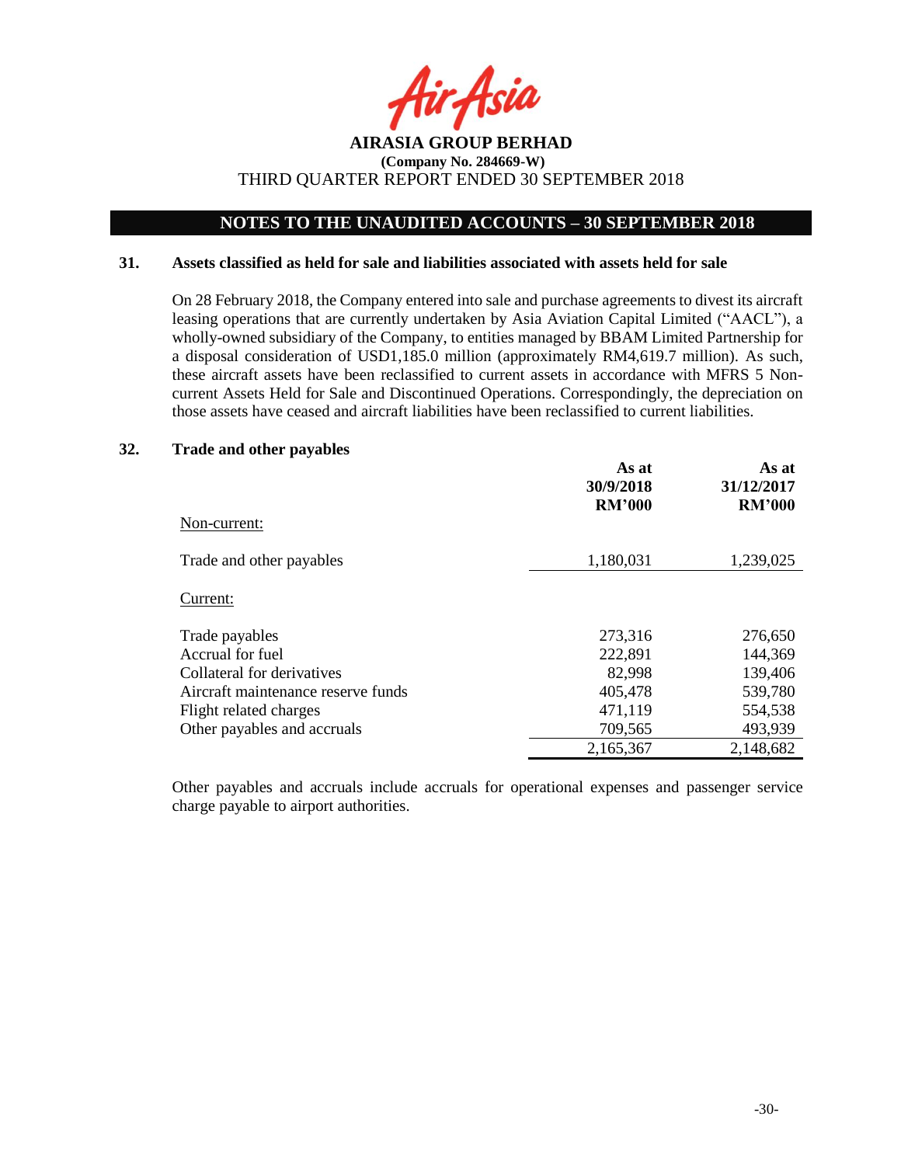

## **NOTES TO THE UNAUDITED ACCOUNTS – 30 SEPTEMBER 2018**

#### **31. Assets classified as held for sale and liabilities associated with assets held for sale**

On 28 February 2018, the Company entered into sale and purchase agreements to divest its aircraft leasing operations that are currently undertaken by Asia Aviation Capital Limited ("AACL"), a wholly-owned subsidiary of the Company, to entities managed by BBAM Limited Partnership for a disposal consideration of USD1,185.0 million (approximately RM4,619.7 million). As such, these aircraft assets have been reclassified to current assets in accordance with MFRS 5 Noncurrent Assets Held for Sale and Discontinued Operations. Correspondingly, the depreciation on those assets have ceased and aircraft liabilities have been reclassified to current liabilities.

#### **32. Trade and other payables**

|                                    | As at<br>30/9/2018<br><b>RM'000</b> | As at<br>31/12/2017<br><b>RM'000</b> |
|------------------------------------|-------------------------------------|--------------------------------------|
| Non-current:                       |                                     |                                      |
| Trade and other payables           | 1,180,031                           | 1,239,025                            |
| Current:                           |                                     |                                      |
| Trade payables                     | 273,316                             | 276,650                              |
| Accrual for fuel                   | 222,891                             | 144,369                              |
| Collateral for derivatives         | 82,998                              | 139,406                              |
| Aircraft maintenance reserve funds | 405,478                             | 539,780                              |
| Flight related charges             | 471,119                             | 554,538                              |
| Other payables and accruals        | 709,565                             | 493,939                              |
|                                    | 2,165,367                           | 2,148,682                            |

Other payables and accruals include accruals for operational expenses and passenger service charge payable to airport authorities.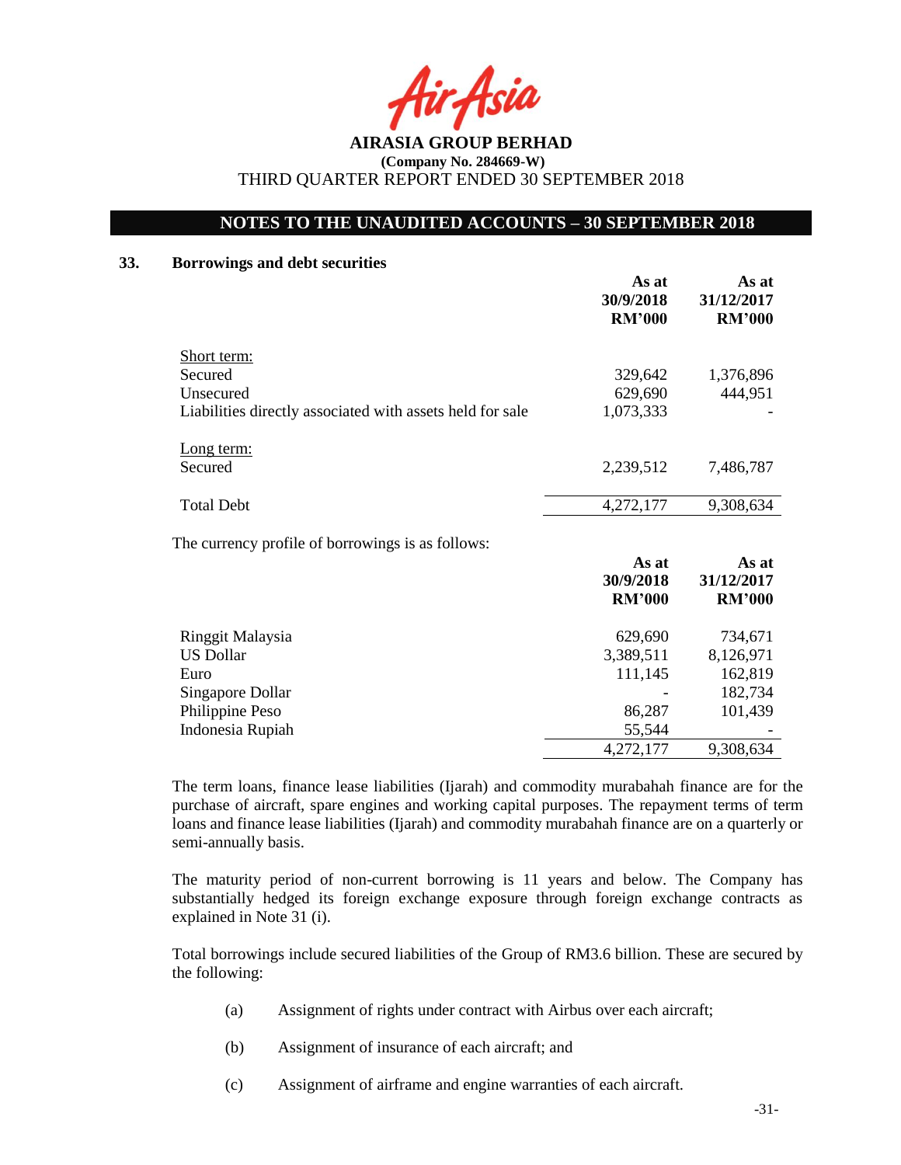fir Asia

## **NOTES TO THE UNAUDITED ACCOUNTS – 30 SEPTEMBER 2018**

## **33. Borrowings and debt securities**

|                                                           | As at<br>30/9/2018<br><b>RM'000</b> | As at<br>31/12/2017<br><b>RM'000</b> |
|-----------------------------------------------------------|-------------------------------------|--------------------------------------|
| <b>Short term:</b>                                        |                                     |                                      |
| Secured                                                   | 329,642                             | 1,376,896                            |
| Unsecured                                                 | 629,690                             | 444,951                              |
| Liabilities directly associated with assets held for sale | 1,073,333                           |                                      |
| Long term:                                                |                                     |                                      |
| Secured                                                   | 2,239,512                           | 7,486,787                            |
|                                                           |                                     |                                      |
| <b>Total Debt</b>                                         | 4,272,177                           | 9,308,634                            |
| The currency profile of borrowings is as follows:         |                                     |                                      |
|                                                           | As at                               | As at                                |
|                                                           | 30/9/2018                           | 31/12/2017                           |
|                                                           | <b>RM'000</b>                       | <b>RM'000</b>                        |
| Ringgit Malaysia                                          | 629,690                             | 734,671                              |
| <b>US Dollar</b>                                          | 3,389,511                           | 8,126,971                            |
| Euro                                                      | 111,145                             | 162,819                              |
| Singapore Dollar                                          |                                     | 182,734                              |
| Philippine Peso                                           | 86,287                              | 101,439                              |

86,287<br>55,544 Indonesia Rupiah 4,272,177 9,308,634 The term loans, finance lease liabilities (Ijarah) and commodity murabahah finance are for the

purchase of aircraft, spare engines and working capital purposes. The repayment terms of term loans and finance lease liabilities (Ijarah) and commodity murabahah finance are on a quarterly or semi-annually basis.

The maturity period of non-current borrowing is 11 years and below. The Company has substantially hedged its foreign exchange exposure through foreign exchange contracts as explained in Note 31 (i).

Total borrowings include secured liabilities of the Group of RM3.6 billion. These are secured by the following:

- (a) Assignment of rights under contract with Airbus over each aircraft;
- (b) Assignment of insurance of each aircraft; and
- (c) Assignment of airframe and engine warranties of each aircraft.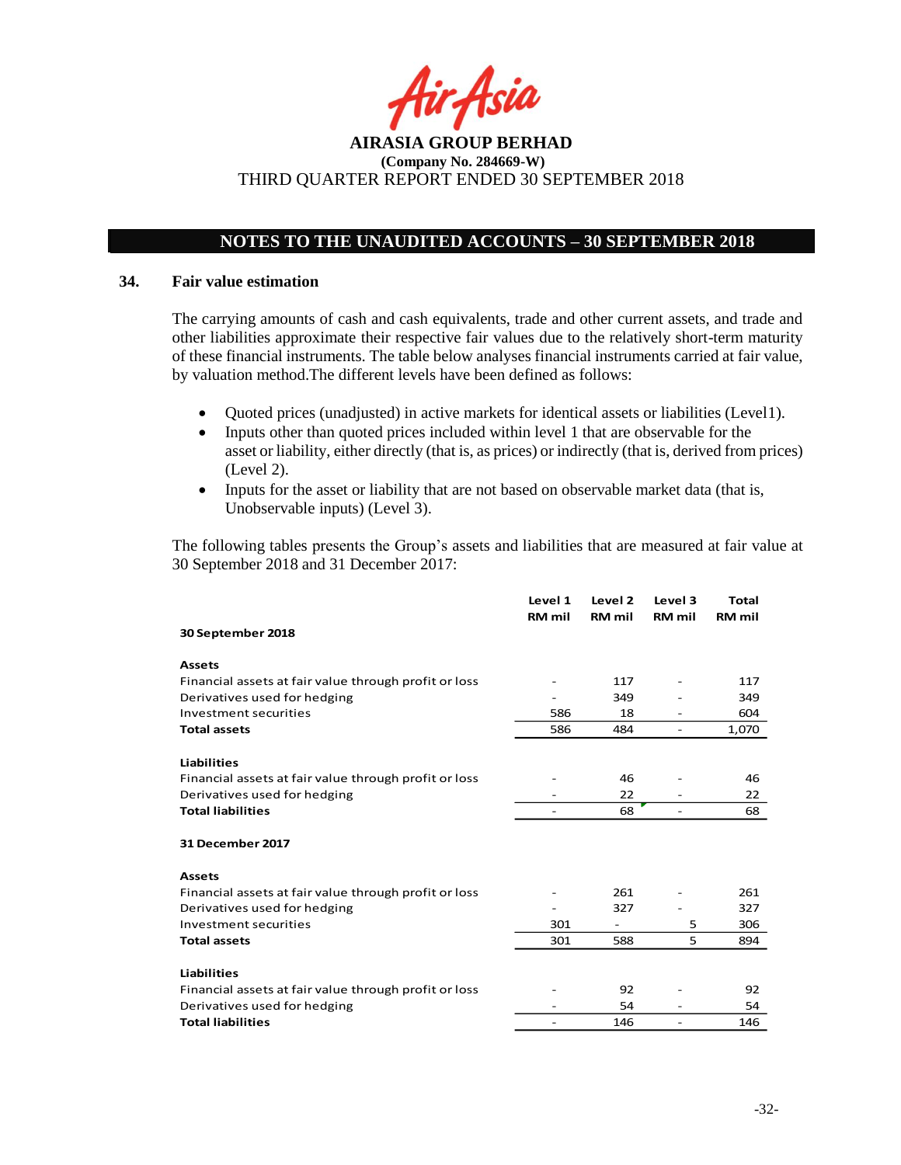fir Asia

## **NOTES TO THE UNAUDITED ACCOUNTS – 30 SEPTEMBER 2018**

#### **34. Fair value estimation**

The carrying amounts of cash and cash equivalents, trade and other current assets, and trade and other liabilities approximate their respective fair values due to the relatively short-term maturity of these financial instruments. The table below analyses financial instruments carried at fair value, by valuation method.The different levels have been defined as follows:

- Quoted prices (unadjusted) in active markets for identical assets or liabilities (Level1).
- Inputs other than quoted prices included within level 1 that are observable for the asset or liability, either directly (that is, as prices) or indirectly (that is, derived from prices) (Level 2).
- Inputs for the asset or liability that are not based on observable market data (that is, Unobservable inputs) (Level 3).

The following tables presents the Group's assets and liabilities that are measured at fair value at 30 September 2018 and 31 December 2017:

|                                                       | Level 1<br>RM mil | Level 2<br><b>RM</b> mil | Level 3<br><b>RM</b> mil     | <b>Total</b><br><b>RM</b> mil |
|-------------------------------------------------------|-------------------|--------------------------|------------------------------|-------------------------------|
| 30 September 2018                                     |                   |                          |                              |                               |
| <b>Assets</b>                                         |                   |                          |                              |                               |
| Financial assets at fair value through profit or loss |                   | 117                      |                              | 117                           |
| Derivatives used for hedging                          |                   | 349                      |                              | 349                           |
| Investment securities                                 | 586               | 18                       |                              | 604                           |
| <b>Total assets</b>                                   | 586               | 484                      |                              | 1,070                         |
| <b>Liabilities</b>                                    |                   |                          |                              |                               |
| Financial assets at fair value through profit or loss |                   | 46                       |                              | 46                            |
| Derivatives used for hedging                          |                   | 22                       |                              | 22                            |
| <b>Total liabilities</b>                              |                   | 68                       | $\qquad \qquad \blacksquare$ | 68                            |
| <b>31 December 2017</b>                               |                   |                          |                              |                               |
| <b>Assets</b>                                         |                   |                          |                              |                               |
| Financial assets at fair value through profit or loss |                   | 261                      |                              | 261                           |
| Derivatives used for hedging                          |                   | 327                      |                              | 327                           |
| Investment securities                                 | 301               | $\overline{\phantom{a}}$ | 5                            | 306                           |
| <b>Total assets</b>                                   | 301               | 588                      | 5                            | 894                           |
| <b>Liabilities</b>                                    |                   |                          |                              |                               |
| Financial assets at fair value through profit or loss |                   | 92                       |                              | 92                            |
| Derivatives used for hedging                          |                   | 54                       |                              | 54                            |
| <b>Total liabilities</b>                              |                   | 146                      |                              | 146                           |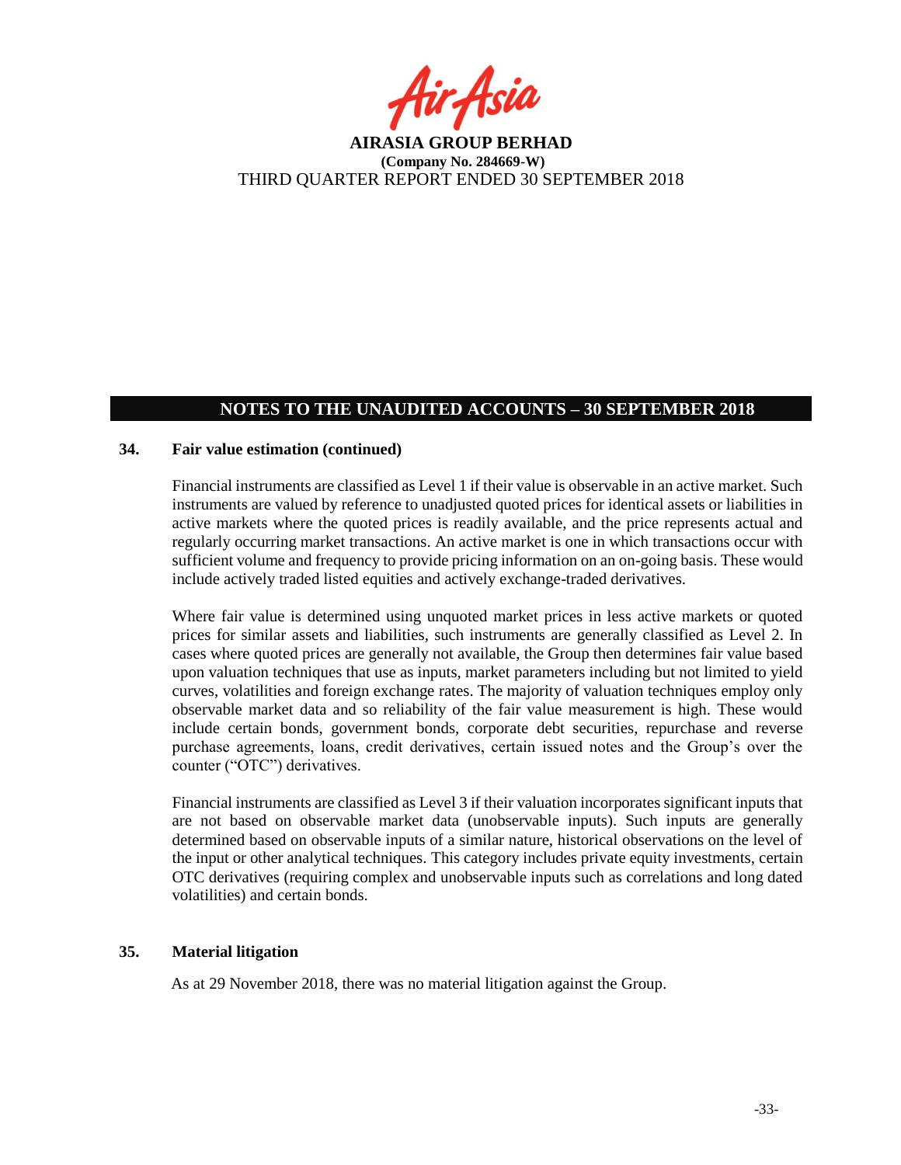fir<sub>f</sub>fsia

## **NOTES TO THE UNAUDITED ACCOUNTS – 30 SEPTEMBER 2018**

### **34. Fair value estimation (continued)**

Financial instruments are classified as Level 1 if their value is observable in an active market. Such instruments are valued by reference to unadjusted quoted prices for identical assets or liabilities in active markets where the quoted prices is readily available, and the price represents actual and regularly occurring market transactions. An active market is one in which transactions occur with sufficient volume and frequency to provide pricing information on an on-going basis. These would include actively traded listed equities and actively exchange-traded derivatives.

Where fair value is determined using unquoted market prices in less active markets or quoted prices for similar assets and liabilities, such instruments are generally classified as Level 2. In cases where quoted prices are generally not available, the Group then determines fair value based upon valuation techniques that use as inputs, market parameters including but not limited to yield curves, volatilities and foreign exchange rates. The majority of valuation techniques employ only observable market data and so reliability of the fair value measurement is high. These would include certain bonds, government bonds, corporate debt securities, repurchase and reverse purchase agreements, loans, credit derivatives, certain issued notes and the Group's over the counter ("OTC") derivatives.

Financial instruments are classified as Level 3 if their valuation incorporates significant inputs that are not based on observable market data (unobservable inputs). Such inputs are generally determined based on observable inputs of a similar nature, historical observations on the level of the input or other analytical techniques. This category includes private equity investments, certain OTC derivatives (requiring complex and unobservable inputs such as correlations and long dated volatilities) and certain bonds.

## **35. Material litigation**

As at 29 November 2018, there was no material litigation against the Group.